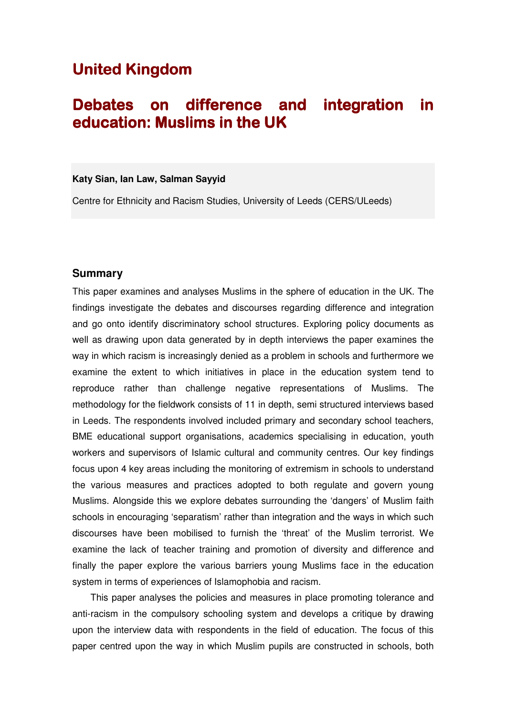# **United Kingdom**

# Debates on difference and integration in education: Muslims in the UK

# **Katy Sian, Ian Law, Salman Sayyid**

Centre for Ethnicity and Racism Studies, University of Leeds (CERS/ULeeds)

# **Summary**

This paper examines and analyses Muslims in the sphere of education in the UK. The findings investigate the debates and discourses regarding difference and integration and go onto identify discriminatory school structures. Exploring policy documents as well as drawing upon data generated by in depth interviews the paper examines the way in which racism is increasingly denied as a problem in schools and furthermore we examine the extent to which initiatives in place in the education system tend to reproduce rather than challenge negative representations of Muslims. The methodology for the fieldwork consists of 11 in depth, semi structured interviews based in Leeds. The respondents involved included primary and secondary school teachers, BME educational support organisations, academics specialising in education, youth workers and supervisors of Islamic cultural and community centres. Our key findings focus upon 4 key areas including the monitoring of extremism in schools to understand the various measures and practices adopted to both regulate and govern young Muslims. Alongside this we explore debates surrounding the 'dangers' of Muslim faith schools in encouraging 'separatism' rather than integration and the ways in which such discourses have been mobilised to furnish the 'threat' of the Muslim terrorist. We examine the lack of teacher training and promotion of diversity and difference and finally the paper explore the various barriers young Muslims face in the education system in terms of experiences of Islamophobia and racism.

This paper analyses the policies and measures in place promoting tolerance and anti-racism in the compulsory schooling system and develops a critique by drawing upon the interview data with respondents in the field of education. The focus of this paper centred upon the way in which Muslim pupils are constructed in schools, both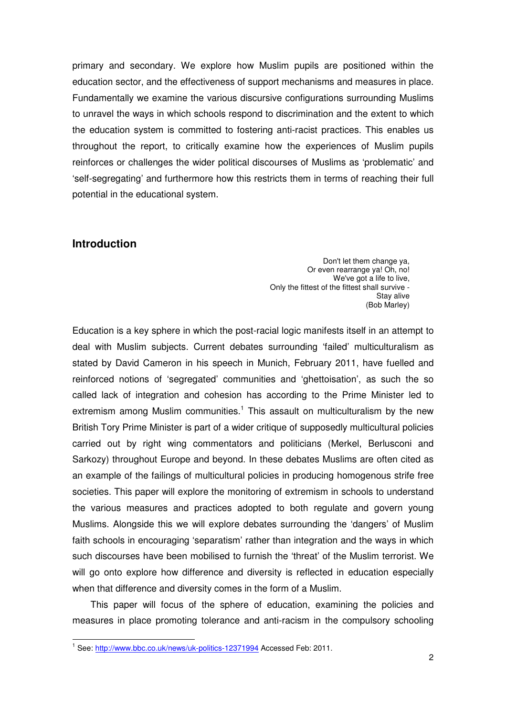primary and secondary. We explore how Muslim pupils are positioned within the education sector, and the effectiveness of support mechanisms and measures in place. Fundamentally we examine the various discursive configurations surrounding Muslims to unravel the ways in which schools respond to discrimination and the extent to which the education system is committed to fostering anti-racist practices. This enables us throughout the report, to critically examine how the experiences of Muslim pupils reinforces or challenges the wider political discourses of Muslims as 'problematic' and 'self-segregating' and furthermore how this restricts them in terms of reaching their full potential in the educational system.

# **Introduction**

Don't let them change ya, Or even rearrange ya! Oh, no! We've got a life to live, Only the fittest of the fittest shall survive - Stay alive (Bob Marley)

Education is a key sphere in which the post-racial logic manifests itself in an attempt to deal with Muslim subjects. Current debates surrounding 'failed' multiculturalism as stated by David Cameron in his speech in Munich, February 2011, have fuelled and reinforced notions of 'segregated' communities and 'ghettoisation', as such the so called lack of integration and cohesion has according to the Prime Minister led to extremism among Muslim communities.<sup>1</sup> This assault on multiculturalism by the new British Tory Prime Minister is part of a wider critique of supposedly multicultural policies carried out by right wing commentators and politicians (Merkel, Berlusconi and Sarkozy) throughout Europe and beyond. In these debates Muslims are often cited as an example of the failings of multicultural policies in producing homogenous strife free societies. This paper will explore the monitoring of extremism in schools to understand the various measures and practices adopted to both regulate and govern young Muslims. Alongside this we will explore debates surrounding the 'dangers' of Muslim faith schools in encouraging 'separatism' rather than integration and the ways in which such discourses have been mobilised to furnish the 'threat' of the Muslim terrorist. We will go onto explore how difference and diversity is reflected in education especially when that difference and diversity comes in the form of a Muslim.

This paper will focus of the sphere of education, examining the policies and measures in place promoting tolerance and anti-racism in the compulsory schooling

<sup>&</sup>lt;u>.</u><br><sup>1</sup> See: <u>http://www.bbc.co.uk/news/uk-politics-12371994</u> Accessed Feb: 2011.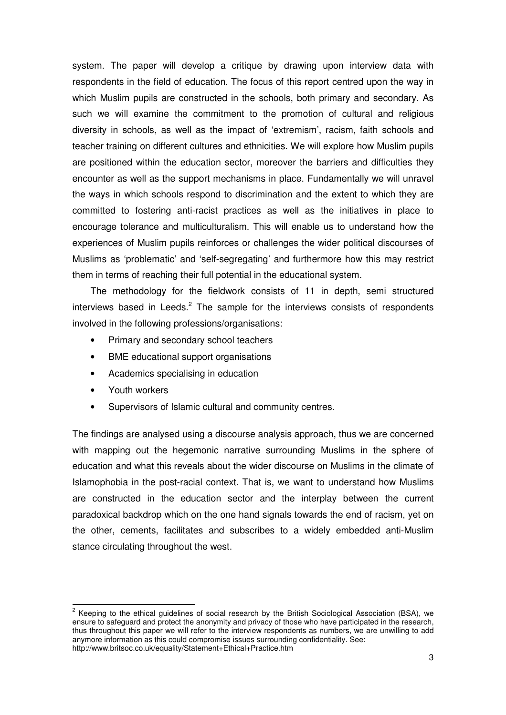system. The paper will develop a critique by drawing upon interview data with respondents in the field of education. The focus of this report centred upon the way in which Muslim pupils are constructed in the schools, both primary and secondary. As such we will examine the commitment to the promotion of cultural and religious diversity in schools, as well as the impact of 'extremism', racism, faith schools and teacher training on different cultures and ethnicities. We will explore how Muslim pupils are positioned within the education sector, moreover the barriers and difficulties they encounter as well as the support mechanisms in place. Fundamentally we will unravel the ways in which schools respond to discrimination and the extent to which they are committed to fostering anti-racist practices as well as the initiatives in place to encourage tolerance and multiculturalism. This will enable us to understand how the experiences of Muslim pupils reinforces or challenges the wider political discourses of Muslims as 'problematic' and 'self-segregating' and furthermore how this may restrict them in terms of reaching their full potential in the educational system.

The methodology for the fieldwork consists of 11 in depth, semi structured interviews based in Leeds. $2$  The sample for the interviews consists of respondents involved in the following professions/organisations:

- Primary and secondary school teachers
- BME educational support organisations
- Academics specialising in education
- Youth workers
- Supervisors of Islamic cultural and community centres.

The findings are analysed using a discourse analysis approach, thus we are concerned with mapping out the hegemonic narrative surrounding Muslims in the sphere of education and what this reveals about the wider discourse on Muslims in the climate of Islamophobia in the post-racial context. That is, we want to understand how Muslims are constructed in the education sector and the interplay between the current paradoxical backdrop which on the one hand signals towards the end of racism, yet on the other, cements, facilitates and subscribes to a widely embedded anti-Muslim stance circulating throughout the west.

**EXECUTE:**<br><sup>2</sup> Keeping to the ethical guidelines of social research by the British Sociological Association (BSA), we ensure to safeguard and protect the anonymity and privacy of those who have participated in the research, thus throughout this paper we will refer to the interview respondents as numbers, we are unwilling to add anymore information as this could compromise issues surrounding confidentiality. See: http://www.britsoc.co.uk/equality/Statement+Ethical+Practice.htm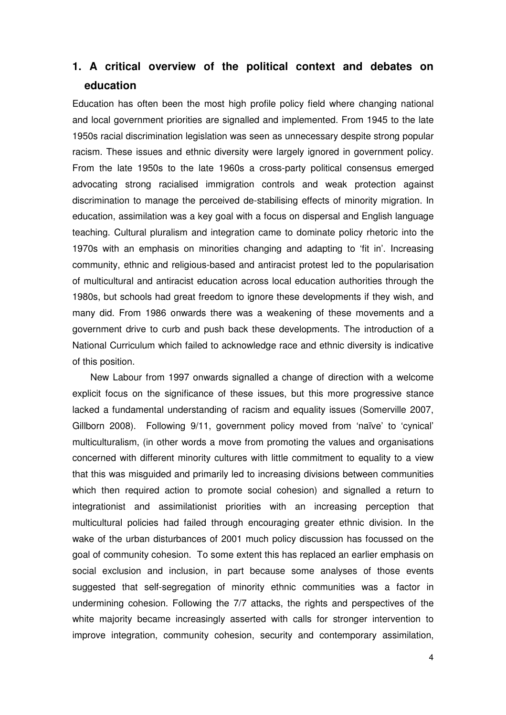# **1. A critical overview of the political context and debates on education**

Education has often been the most high profile policy field where changing national and local government priorities are signalled and implemented. From 1945 to the late 1950s racial discrimination legislation was seen as unnecessary despite strong popular racism. These issues and ethnic diversity were largely ignored in government policy. From the late 1950s to the late 1960s a cross-party political consensus emerged advocating strong racialised immigration controls and weak protection against discrimination to manage the perceived de-stabilising effects of minority migration. In education, assimilation was a key goal with a focus on dispersal and English language teaching. Cultural pluralism and integration came to dominate policy rhetoric into the 1970s with an emphasis on minorities changing and adapting to 'fit in'. Increasing community, ethnic and religious-based and antiracist protest led to the popularisation of multicultural and antiracist education across local education authorities through the 1980s, but schools had great freedom to ignore these developments if they wish, and many did. From 1986 onwards there was a weakening of these movements and a government drive to curb and push back these developments. The introduction of a National Curriculum which failed to acknowledge race and ethnic diversity is indicative of this position.

New Labour from 1997 onwards signalled a change of direction with a welcome explicit focus on the significance of these issues, but this more progressive stance lacked a fundamental understanding of racism and equality issues (Somerville 2007, Gillborn 2008). Following 9/11, government policy moved from 'naïve' to 'cynical' multiculturalism, (in other words a move from promoting the values and organisations concerned with different minority cultures with little commitment to equality to a view that this was misguided and primarily led to increasing divisions between communities which then required action to promote social cohesion) and signalled a return to integrationist and assimilationist priorities with an increasing perception that multicultural policies had failed through encouraging greater ethnic division. In the wake of the urban disturbances of 2001 much policy discussion has focussed on the goal of community cohesion. To some extent this has replaced an earlier emphasis on social exclusion and inclusion, in part because some analyses of those events suggested that self-segregation of minority ethnic communities was a factor in undermining cohesion. Following the 7/7 attacks, the rights and perspectives of the white majority became increasingly asserted with calls for stronger intervention to improve integration, community cohesion, security and contemporary assimilation,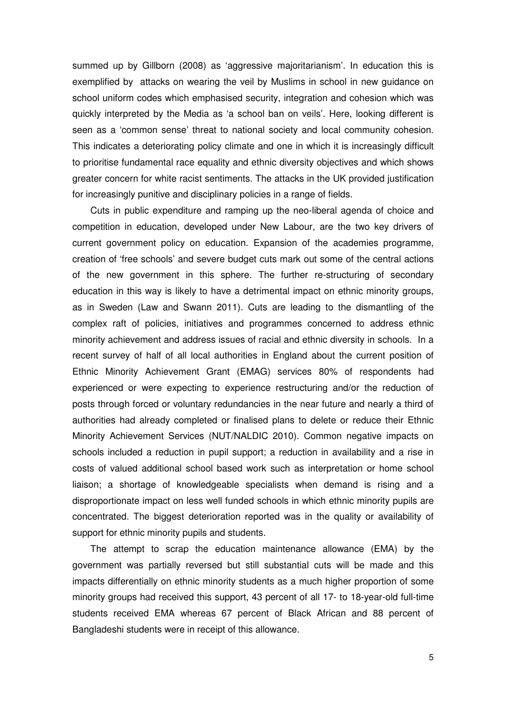summed up by Gillborn (2008) as 'aggressive majoritarianism'. In education this is exemplified by attacks on wearing the veil by Muslims in school in new guidance on school uniform codes which emphasised security, integration and cohesion which was quickly interpreted by the Media as 'a school ban on veils'. Here, looking different is seen as a 'common sense' threat to national society and local community cohesion. This indicates a deteriorating policy climate and one in which it is increasingly difficult to prioritise fundamental race equality and ethnic diversity objectives and which shows greater concern for white racist sentiments. The attacks in the UK provided justification for increasingly punitive and disciplinary policies in a range of fields.

Cuts in public expenditure and ramping up the neo-liberal agenda of choice and competition in education, developed under New Labour, are the two key drivers of current government policy on education. Expansion of the academies programme, creation of 'free schools' and severe budget cuts mark out some of the central actions of the new government in this sphere. The further re-structuring of secondary education in this way is likely to have a detrimental impact on ethnic minority groups, as in Sweden (Law and Swann 2011). Cuts are leading to the dismantling of the complex raft of policies, initiatives and programmes concerned to address ethnic minority achievement and address issues of racial and ethnic diversity in schools. In a recent survey of half of all local authorities in England about the current position of Ethnic Minority Achievement Grant (EMAG) services 80% of respondents had experienced or were expecting to experience restructuring and/or the reduction of posts through forced or voluntary redundancies in the near future and nearly a third of authorities had already completed or finalised plans to delete or reduce their Ethnic Minority Achievement Services (NUT/NALDIC 2010). Common negative impacts on schools included a reduction in pupil support; a reduction in availability and a rise in costs of valued additional school based work such as interpretation or home school liaison; a shortage of knowledgeable specialists when demand is rising and a disproportionate impact on less well funded schools in which ethnic minority pupils are concentrated. The biggest deterioration reported was in the quality or availability of support for ethnic minority pupils and students.

The attempt to scrap the education maintenance allowance (EMA) by the government was partially reversed but still substantial cuts will be made and this impacts differentially on ethnic minority students as a much higher proportion of some minority groups had received this support, 43 percent of all 17- to 18-year-old full-time students received EMA whereas 67 percent of Black African and 88 percent of Bangladeshi students were in receipt of this allowance.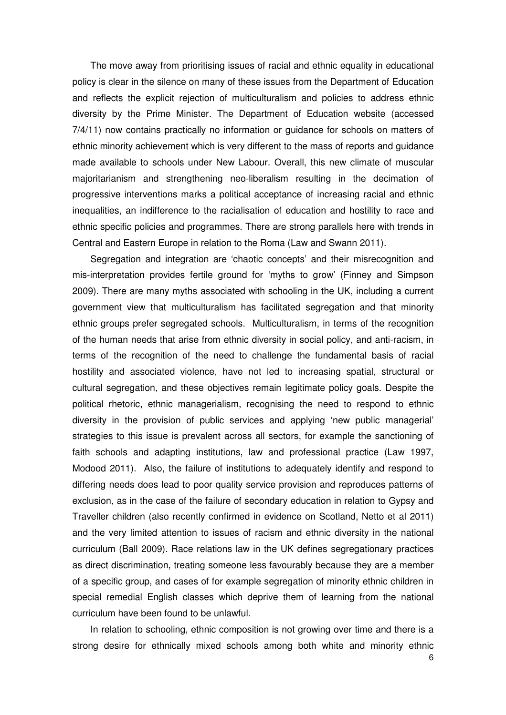The move away from prioritising issues of racial and ethnic equality in educational policy is clear in the silence on many of these issues from the Department of Education and reflects the explicit rejection of multiculturalism and policies to address ethnic diversity by the Prime Minister. The Department of Education website (accessed 7/4/11) now contains practically no information or guidance for schools on matters of ethnic minority achievement which is very different to the mass of reports and guidance made available to schools under New Labour. Overall, this new climate of muscular majoritarianism and strengthening neo-liberalism resulting in the decimation of progressive interventions marks a political acceptance of increasing racial and ethnic inequalities, an indifference to the racialisation of education and hostility to race and ethnic specific policies and programmes. There are strong parallels here with trends in Central and Eastern Europe in relation to the Roma (Law and Swann 2011).

Segregation and integration are 'chaotic concepts' and their misrecognition and mis-interpretation provides fertile ground for 'myths to grow' (Finney and Simpson 2009). There are many myths associated with schooling in the UK, including a current government view that multiculturalism has facilitated segregation and that minority ethnic groups prefer segregated schools. Multiculturalism, in terms of the recognition of the human needs that arise from ethnic diversity in social policy, and anti-racism, in terms of the recognition of the need to challenge the fundamental basis of racial hostility and associated violence, have not led to increasing spatial, structural or cultural segregation, and these objectives remain legitimate policy goals. Despite the political rhetoric, ethnic managerialism, recognising the need to respond to ethnic diversity in the provision of public services and applying 'new public managerial' strategies to this issue is prevalent across all sectors, for example the sanctioning of faith schools and adapting institutions, law and professional practice (Law 1997, Modood 2011). Also, the failure of institutions to adequately identify and respond to differing needs does lead to poor quality service provision and reproduces patterns of exclusion, as in the case of the failure of secondary education in relation to Gypsy and Traveller children (also recently confirmed in evidence on Scotland, Netto et al 2011) and the very limited attention to issues of racism and ethnic diversity in the national curriculum (Ball 2009). Race relations law in the UK defines segregationary practices as direct discrimination, treating someone less favourably because they are a member of a specific group, and cases of for example segregation of minority ethnic children in special remedial English classes which deprive them of learning from the national curriculum have been found to be unlawful.

In relation to schooling, ethnic composition is not growing over time and there is a strong desire for ethnically mixed schools among both white and minority ethnic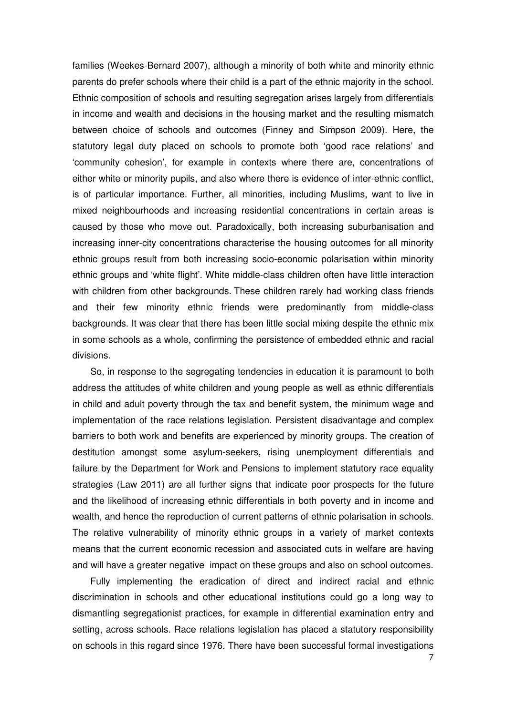families (Weekes-Bernard 2007), although a minority of both white and minority ethnic parents do prefer schools where their child is a part of the ethnic majority in the school. Ethnic composition of schools and resulting segregation arises largely from differentials in income and wealth and decisions in the housing market and the resulting mismatch between choice of schools and outcomes (Finney and Simpson 2009). Here, the statutory legal duty placed on schools to promote both 'good race relations' and 'community cohesion', for example in contexts where there are, concentrations of either white or minority pupils, and also where there is evidence of inter-ethnic conflict, is of particular importance. Further, all minorities, including Muslims, want to live in mixed neighbourhoods and increasing residential concentrations in certain areas is caused by those who move out. Paradoxically, both increasing suburbanisation and increasing inner-city concentrations characterise the housing outcomes for all minority ethnic groups result from both increasing socio-economic polarisation within minority ethnic groups and 'white flight'. White middle-class children often have little interaction with children from other backgrounds. These children rarely had working class friends and their few minority ethnic friends were predominantly from middle-class backgrounds. It was clear that there has been little social mixing despite the ethnic mix in some schools as a whole, confirming the persistence of embedded ethnic and racial divisions.

So, in response to the segregating tendencies in education it is paramount to both address the attitudes of white children and young people as well as ethnic differentials in child and adult poverty through the tax and benefit system, the minimum wage and implementation of the race relations legislation. Persistent disadvantage and complex barriers to both work and benefits are experienced by minority groups. The creation of destitution amongst some asylum-seekers, rising unemployment differentials and failure by the Department for Work and Pensions to implement statutory race equality strategies (Law 2011) are all further signs that indicate poor prospects for the future and the likelihood of increasing ethnic differentials in both poverty and in income and wealth, and hence the reproduction of current patterns of ethnic polarisation in schools. The relative vulnerability of minority ethnic groups in a variety of market contexts means that the current economic recession and associated cuts in welfare are having and will have a greater negative impact on these groups and also on school outcomes.

Fully implementing the eradication of direct and indirect racial and ethnic discrimination in schools and other educational institutions could go a long way to dismantling segregationist practices, for example in differential examination entry and setting, across schools. Race relations legislation has placed a statutory responsibility on schools in this regard since 1976. There have been successful formal investigations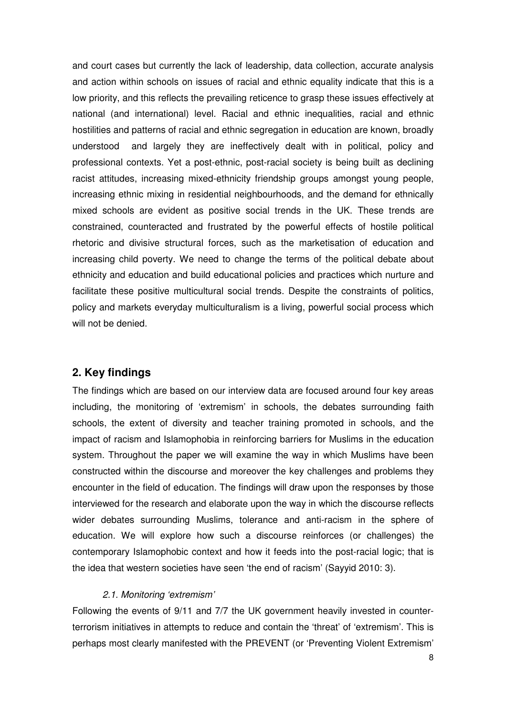and court cases but currently the lack of leadership, data collection, accurate analysis and action within schools on issues of racial and ethnic equality indicate that this is a low priority, and this reflects the prevailing reticence to grasp these issues effectively at national (and international) level. Racial and ethnic inequalities, racial and ethnic hostilities and patterns of racial and ethnic segregation in education are known, broadly understood and largely they are ineffectively dealt with in political, policy and professional contexts. Yet a post-ethnic, post-racial society is being built as declining racist attitudes, increasing mixed-ethnicity friendship groups amongst young people, increasing ethnic mixing in residential neighbourhoods, and the demand for ethnically mixed schools are evident as positive social trends in the UK. These trends are constrained, counteracted and frustrated by the powerful effects of hostile political rhetoric and divisive structural forces, such as the marketisation of education and increasing child poverty. We need to change the terms of the political debate about ethnicity and education and build educational policies and practices which nurture and facilitate these positive multicultural social trends. Despite the constraints of politics, policy and markets everyday multiculturalism is a living, powerful social process which will not be denied.

# **2. Key findings**

The findings which are based on our interview data are focused around four key areas including, the monitoring of 'extremism' in schools, the debates surrounding faith schools, the extent of diversity and teacher training promoted in schools, and the impact of racism and Islamophobia in reinforcing barriers for Muslims in the education system. Throughout the paper we will examine the way in which Muslims have been constructed within the discourse and moreover the key challenges and problems they encounter in the field of education. The findings will draw upon the responses by those interviewed for the research and elaborate upon the way in which the discourse reflects wider debates surrounding Muslims, tolerance and anti-racism in the sphere of education. We will explore how such a discourse reinforces (or challenges) the contemporary Islamophobic context and how it feeds into the post-racial logic; that is the idea that western societies have seen 'the end of racism' (Sayyid 2010: 3).

# 2.1. Monitoring 'extremism'

Following the events of 9/11 and 7/7 the UK government heavily invested in counterterrorism initiatives in attempts to reduce and contain the 'threat' of 'extremism'. This is perhaps most clearly manifested with the PREVENT (or 'Preventing Violent Extremism'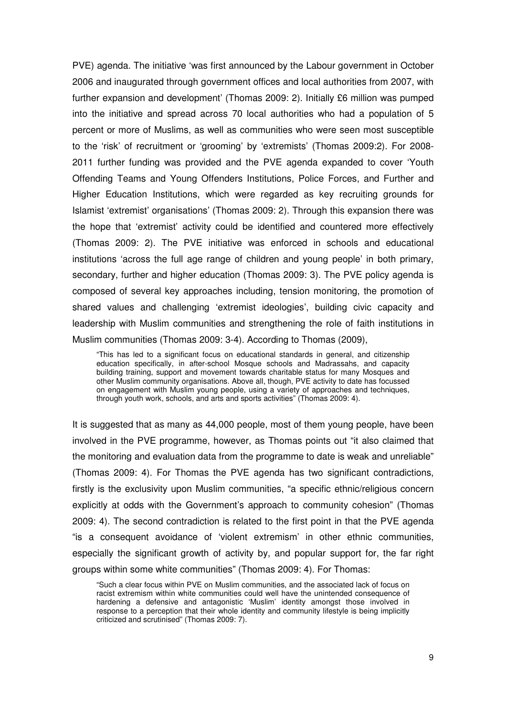PVE) agenda. The initiative 'was first announced by the Labour government in October 2006 and inaugurated through government offices and local authorities from 2007, with further expansion and development' (Thomas 2009: 2). Initially £6 million was pumped into the initiative and spread across 70 local authorities who had a population of 5 percent or more of Muslims, as well as communities who were seen most susceptible to the 'risk' of recruitment or 'grooming' by 'extremists' (Thomas 2009:2). For 2008- 2011 further funding was provided and the PVE agenda expanded to cover 'Youth Offending Teams and Young Offenders Institutions, Police Forces, and Further and Higher Education Institutions, which were regarded as key recruiting grounds for Islamist 'extremist' organisations' (Thomas 2009: 2). Through this expansion there was the hope that 'extremist' activity could be identified and countered more effectively (Thomas 2009: 2). The PVE initiative was enforced in schools and educational institutions 'across the full age range of children and young people' in both primary, secondary, further and higher education (Thomas 2009: 3). The PVE policy agenda is composed of several key approaches including, tension monitoring, the promotion of shared values and challenging 'extremist ideologies', building civic capacity and leadership with Muslim communities and strengthening the role of faith institutions in Muslim communities (Thomas 2009: 3-4). According to Thomas (2009),

"This has led to a significant focus on educational standards in general, and citizenship education specifically, in after-school Mosque schools and Madrassahs, and capacity building training, support and movement towards charitable status for many Mosques and other Muslim community organisations. Above all, though, PVE activity to date has focussed on engagement with Muslim young people, using a variety of approaches and techniques, through youth work, schools, and arts and sports activities" (Thomas 2009: 4).

It is suggested that as many as 44,000 people, most of them young people, have been involved in the PVE programme, however, as Thomas points out "it also claimed that the monitoring and evaluation data from the programme to date is weak and unreliable" (Thomas 2009: 4). For Thomas the PVE agenda has two significant contradictions, firstly is the exclusivity upon Muslim communities, "a specific ethnic/religious concern explicitly at odds with the Government's approach to community cohesion" (Thomas 2009: 4). The second contradiction is related to the first point in that the PVE agenda "is a consequent avoidance of 'violent extremism' in other ethnic communities, especially the significant growth of activity by, and popular support for, the far right groups within some white communities" (Thomas 2009: 4). For Thomas:

"Such a clear focus within PVE on Muslim communities, and the associated lack of focus on racist extremism within white communities could well have the unintended consequence of hardening a defensive and antagonistic 'Muslim' identity amongst those involved in response to a perception that their whole identity and community lifestyle is being implicitly criticized and scrutinised" (Thomas 2009: 7).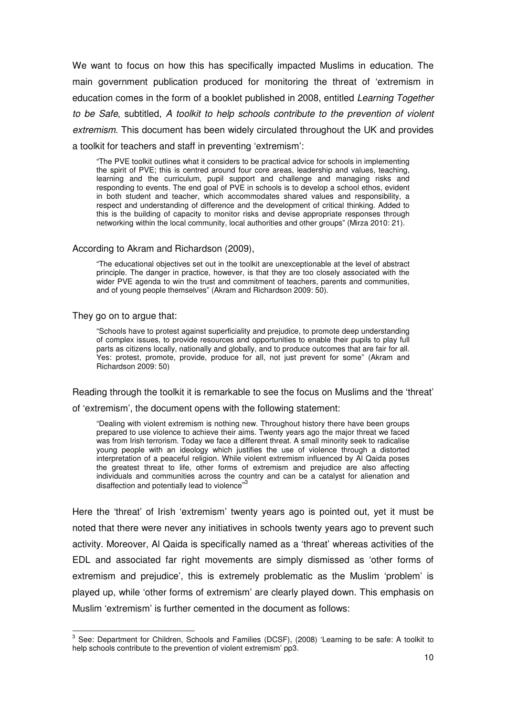We want to focus on how this has specifically impacted Muslims in education. The main government publication produced for monitoring the threat of 'extremism in education comes in the form of a booklet published in 2008, entitled Learning Together to be Safe, subtitled, A toolkit to help schools contribute to the prevention of violent extremism. This document has been widely circulated throughout the UK and provides a toolkit for teachers and staff in preventing 'extremism':

"The PVE toolkit outlines what it considers to be practical advice for schools in implementing the spirit of PVE; this is centred around four core areas, leadership and values, teaching, learning and the curriculum, pupil support and challenge and managing risks and responding to events. The end goal of PVE in schools is to develop a school ethos, evident in both student and teacher, which accommodates shared values and responsibility, a respect and understanding of difference and the development of critical thinking. Added to this is the building of capacity to monitor risks and devise appropriate responses through networking within the local community, local authorities and other groups" (Mirza 2010: 21).

# According to Akram and Richardson (2009),

"The educational objectives set out in the toolkit are unexceptionable at the level of abstract principle. The danger in practice, however, is that they are too closely associated with the wider PVE agenda to win the trust and commitment of teachers, parents and communities, and of young people themselves" (Akram and Richardson 2009: 50).

## They go on to argue that:

"Schools have to protest against superficiality and prejudice, to promote deep understanding of complex issues, to provide resources and opportunities to enable their pupils to play full parts as citizens locally, nationally and globally, and to produce outcomes that are fair for all. Yes: protest, promote, provide, produce for all, not just prevent for some" (Akram and Richardson 2009: 50)

## Reading through the toolkit it is remarkable to see the focus on Muslims and the 'threat'

## of 'extremism', the document opens with the following statement:

"Dealing with violent extremism is nothing new. Throughout history there have been groups prepared to use violence to achieve their aims. Twenty years ago the major threat we faced was from Irish terrorism. Today we face a different threat. A small minority seek to radicalise young people with an ideology which justifies the use of violence through a distorted interpretation of a peaceful religion. While violent extremism influenced by Al Qaida poses the greatest threat to life, other forms of extremism and prejudice are also affecting individuals and communities across the country and can be a catalyst for alienation and disaffection and potentially lead to violence"<sup>3</sup>

Here the 'threat' of Irish 'extremism' twenty years ago is pointed out, yet it must be noted that there were never any initiatives in schools twenty years ago to prevent such activity. Moreover, Al Qaida is specifically named as a 'threat' whereas activities of the EDL and associated far right movements are simply dismissed as 'other forms of extremism and prejudice', this is extremely problematic as the Muslim 'problem' is played up, while 'other forms of extremism' are clearly played down. This emphasis on Muslim 'extremism' is further cemented in the document as follows:

**EXECTS 2018**<br><sup>3</sup> See: Department for Children, Schools and Families (DCSF), (2008) 'Learning to be safe: A toolkit to help schools contribute to the prevention of violent extremism' pp3.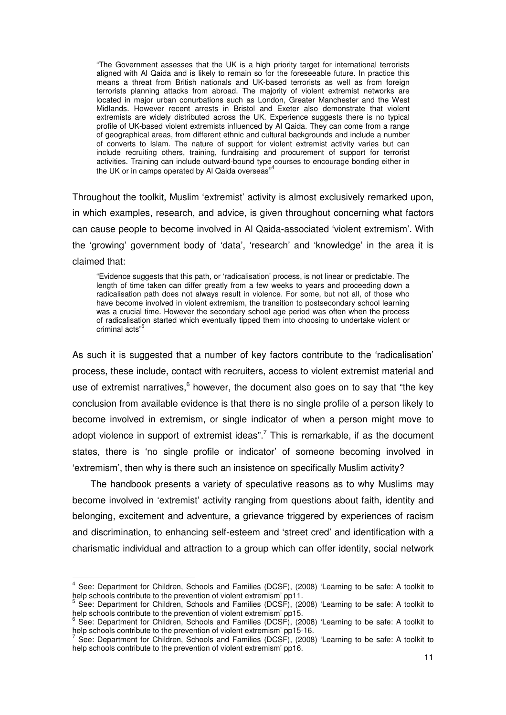"The Government assesses that the UK is a high priority target for international terrorists aligned with Al Qaida and is likely to remain so for the foreseeable future. In practice this means a threat from British nationals and UK-based terrorists as well as from foreign terrorists planning attacks from abroad. The majority of violent extremist networks are located in major urban conurbations such as London, Greater Manchester and the West Midlands. However recent arrests in Bristol and Exeter also demonstrate that violent extremists are widely distributed across the UK. Experience suggests there is no typical profile of UK-based violent extremists influenced by Al Qaida. They can come from a range of geographical areas, from different ethnic and cultural backgrounds and include a number of converts to Islam. The nature of support for violent extremist activity varies but can include recruiting others, training, fundraising and procurement of support for terrorist activities. Training can include outward-bound type courses to encourage bonding either in the UK or in camps operated by Al Qaida overseas"<sup>4</sup>

Throughout the toolkit, Muslim 'extremist' activity is almost exclusively remarked upon, in which examples, research, and advice, is given throughout concerning what factors can cause people to become involved in Al Qaida-associated 'violent extremism'. With the 'growing' government body of 'data', 'research' and 'knowledge' in the area it is claimed that:

"Evidence suggests that this path, or 'radicalisation' process, is not linear or predictable. The length of time taken can differ greatly from a few weeks to years and proceeding down a radicalisation path does not always result in violence. For some, but not all, of those who have become involved in violent extremism, the transition to postsecondary school learning was a crucial time. However the secondary school age period was often when the process of radicalisation started which eventually tipped them into choosing to undertake violent or criminal acts'

As such it is suggested that a number of key factors contribute to the 'radicalisation' process, these include, contact with recruiters, access to violent extremist material and use of extremist narratives, <sup>6</sup> however, the document also goes on to say that "the key conclusion from available evidence is that there is no single profile of a person likely to become involved in extremism, or single indicator of when a person might move to adopt violence in support of extremist ideas".<sup>7</sup> This is remarkable, if as the document states, there is 'no single profile or indicator' of someone becoming involved in 'extremism', then why is there such an insistence on specifically Muslim activity?

The handbook presents a variety of speculative reasons as to why Muslims may become involved in 'extremist' activity ranging from questions about faith, identity and belonging, excitement and adventure, a grievance triggered by experiences of racism and discrimination, to enhancing self-esteem and 'street cred' and identification with a charismatic individual and attraction to a group which can offer identity, social network

 4 See: Department for Children, Schools and Families (DCSF), (2008) 'Learning to be safe: A toolkit to help schools contribute to the prevention of violent extremism' pp11.<br><sup>5</sup> See: Department for Children, Schoole and Eamilies (DCSE), (20

See: Department for Children, Schools and Families (DCSF), (2008) 'Learning to be safe: A toolkit to help schools contribute to the prevention of violent extremism' pp15.

<sup>&</sup>lt;sup>6</sup> See: Department for Children, Schools and Families (DCSF), (2008) 'Learning to be safe: A toolkit to help schools contribute to the prevention of violent extremism' pp15-16.

<sup>7</sup> See: Department for Children, Schools and Families (DCSF), (2008) 'Learning to be safe: A toolkit to help schools contribute to the prevention of violent extremism' pp16.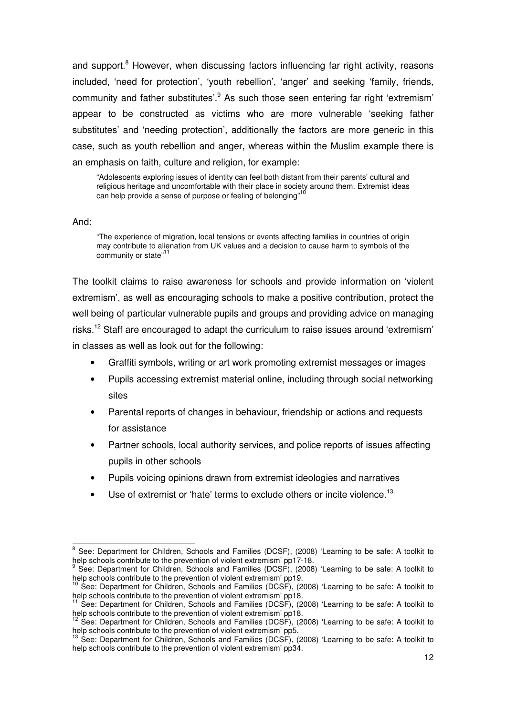and support.<sup>8</sup> However, when discussing factors influencing far right activity, reasons included, 'need for protection', 'youth rebellion', 'anger' and seeking 'family, friends, community and father substitutes'.<sup>9</sup> As such those seen entering far right 'extremism' appear to be constructed as victims who are more vulnerable 'seeking father substitutes' and 'needing protection', additionally the factors are more generic in this case, such as youth rebellion and anger, whereas within the Muslim example there is an emphasis on faith, culture and religion, for example:

"Adolescents exploring issues of identity can feel both distant from their parents' cultural and religious heritage and uncomfortable with their place in society around them. Extremist ideas can help provide a sense of purpose or feeling of belonging"

## And:

 $\overline{a}$ 

"The experience of migration, local tensions or events affecting families in countries of origin may contribute to alienation from UK values and a decision to cause harm to symbols of the community or state"<sup>11</sup>

The toolkit claims to raise awareness for schools and provide information on 'violent extremism', as well as encouraging schools to make a positive contribution, protect the well being of particular vulnerable pupils and groups and providing advice on managing risks.<sup>12</sup> Staff are encouraged to adapt the curriculum to raise issues around 'extremism' in classes as well as look out for the following:

- Graffiti symbols, writing or art work promoting extremist messages or images
- Pupils accessing extremist material online, including through social networking sites
- Parental reports of changes in behaviour, friendship or actions and requests for assistance
- Partner schools, local authority services, and police reports of issues affecting pupils in other schools
- Pupils voicing opinions drawn from extremist ideologies and narratives
- $\bullet$  Use of extremist or 'hate' terms to exclude others or incite violence.<sup>13</sup>

<sup>8</sup> See: Department for Children, Schools and Families (DCSF), (2008) 'Learning to be safe: A toolkit to help schools contribute to the prevention of violent extremism' pp17-18. 9

See: Department for Children, Schools and Families (DCSF), (2008) 'Learning to be safe: A toolkit to help schools contribute to the prevention of violent extremism' pp19.

<sup>&</sup>lt;sup>10</sup> See: Department for Children, Schools and Families (DCSF), (2008) 'Learning to be safe: A toolkit to help schools contribute to the prevention of violent extremism' pp18.

<sup>11</sup> See: Department for Children, Schools and Families (DCSF), (2008) 'Learning to be safe: A toolkit to help schools contribute to the prevention of violent extremism' pp18.

<sup>&</sup>lt;sup>12</sup> See: Department for Children, Schools and Families (DCSF), (2008) 'Learning to be safe: A toolkit to help schools contribute to the prevention of violent extremism' pp5.

See: Department for Children, Schools and Families (DCSF), (2008) 'Learning to be safe: A toolkit to help schools contribute to the prevention of violent extremism' pp34.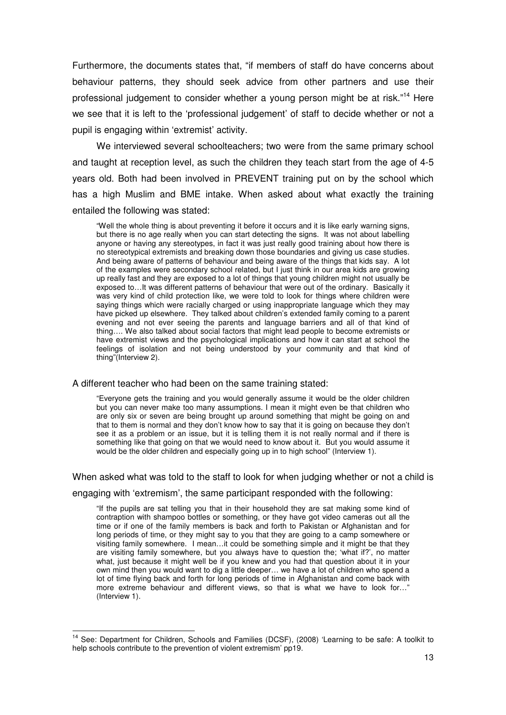Furthermore, the documents states that, "if members of staff do have concerns about behaviour patterns, they should seek advice from other partners and use their professional judgement to consider whether a young person might be at risk."<sup>14</sup> Here we see that it is left to the 'professional judgement' of staff to decide whether or not a pupil is engaging within 'extremist' activity.

We interviewed several schoolteachers; two were from the same primary school and taught at reception level, as such the children they teach start from the age of 4-5 years old. Both had been involved in PREVENT training put on by the school which has a high Muslim and BME intake. When asked about what exactly the training entailed the following was stated:

"Well the whole thing is about preventing it before it occurs and it is like early warning signs, but there is no age really when you can start detecting the signs. It was not about labelling anyone or having any stereotypes, in fact it was just really good training about how there is no stereotypical extremists and breaking down those boundaries and giving us case studies. And being aware of patterns of behaviour and being aware of the things that kids say. A lot of the examples were secondary school related, but I just think in our area kids are growing up really fast and they are exposed to a lot of things that young children might not usually be exposed to…It was different patterns of behaviour that were out of the ordinary. Basically it was very kind of child protection like, we were told to look for things where children were saying things which were racially charged or using inappropriate language which they may have picked up elsewhere. They talked about children's extended family coming to a parent evening and not ever seeing the parents and language barriers and all of that kind of thing…. We also talked about social factors that might lead people to become extremists or have extremist views and the psychological implications and how it can start at school the feelings of isolation and not being understood by your community and that kind of thing"(Interview 2).

#### A different teacher who had been on the same training stated:

 $\overline{\phantom{a}}$ 

"Everyone gets the training and you would generally assume it would be the older children but you can never make too many assumptions. I mean it might even be that children who are only six or seven are being brought up around something that might be going on and that to them is normal and they don't know how to say that it is going on because they don't see it as a problem or an issue, but it is telling them it is not really normal and if there is something like that going on that we would need to know about it. But you would assume it would be the older children and especially going up in to high school" (Interview 1).

When asked what was told to the staff to look for when judging whether or not a child is

## engaging with 'extremism', the same participant responded with the following:

"If the pupils are sat telling you that in their household they are sat making some kind of contraption with shampoo bottles or something, or they have got video cameras out all the time or if one of the family members is back and forth to Pakistan or Afghanistan and for long periods of time, or they might say to you that they are going to a camp somewhere or visiting family somewhere. I mean…it could be something simple and it might be that they are visiting family somewhere, but you always have to question the; 'what if?', no matter what, just because it might well be if you knew and you had that question about it in your own mind then you would want to dig a little deeper… we have a lot of children who spend a lot of time flying back and forth for long periods of time in Afghanistan and come back with more extreme behaviour and different views, so that is what we have to look for…" (Interview 1).

<sup>&</sup>lt;sup>14</sup> See: Department for Children, Schools and Families (DCSF), (2008) 'Learning to be safe: A toolkit to help schools contribute to the prevention of violent extremism' pp19.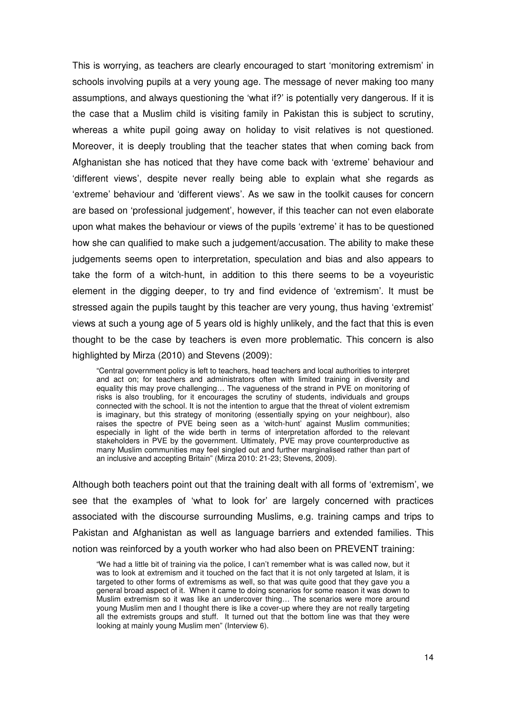This is worrying, as teachers are clearly encouraged to start 'monitoring extremism' in schools involving pupils at a very young age. The message of never making too many assumptions, and always questioning the 'what if?' is potentially very dangerous. If it is the case that a Muslim child is visiting family in Pakistan this is subject to scrutiny, whereas a white pupil going away on holiday to visit relatives is not questioned. Moreover, it is deeply troubling that the teacher states that when coming back from Afghanistan she has noticed that they have come back with 'extreme' behaviour and 'different views', despite never really being able to explain what she regards as 'extreme' behaviour and 'different views'. As we saw in the toolkit causes for concern are based on 'professional judgement', however, if this teacher can not even elaborate upon what makes the behaviour or views of the pupils 'extreme' it has to be questioned how she can qualified to make such a judgement/accusation. The ability to make these judgements seems open to interpretation, speculation and bias and also appears to take the form of a witch-hunt, in addition to this there seems to be a voyeuristic element in the digging deeper, to try and find evidence of 'extremism'. It must be stressed again the pupils taught by this teacher are very young, thus having 'extremist' views at such a young age of 5 years old is highly unlikely, and the fact that this is even thought to be the case by teachers is even more problematic. This concern is also highlighted by Mirza (2010) and Stevens (2009):

"Central government policy is left to teachers, head teachers and local authorities to interpret and act on; for teachers and administrators often with limited training in diversity and equality this may prove challenging… The vagueness of the strand in PVE on monitoring of risks is also troubling, for it encourages the scrutiny of students, individuals and groups connected with the school. It is not the intention to argue that the threat of violent extremism is imaginary, but this strategy of monitoring (essentially spying on your neighbour), also raises the spectre of PVE being seen as a 'witch-hunt' against Muslim communities; especially in light of the wide berth in terms of interpretation afforded to the relevant stakeholders in PVE by the government. Ultimately, PVE may prove counterproductive as many Muslim communities may feel singled out and further marginalised rather than part of an inclusive and accepting Britain" (Mirza 2010: 21-23; Stevens, 2009).

Although both teachers point out that the training dealt with all forms of 'extremism', we see that the examples of 'what to look for' are largely concerned with practices associated with the discourse surrounding Muslims, e.g. training camps and trips to Pakistan and Afghanistan as well as language barriers and extended families. This notion was reinforced by a youth worker who had also been on PREVENT training:

"We had a little bit of training via the police, I can't remember what is was called now, but it was to look at extremism and it touched on the fact that it is not only targeted at Islam, it is targeted to other forms of extremisms as well, so that was quite good that they gave you a general broad aspect of it. When it came to doing scenarios for some reason it was down to Muslim extremism so it was like an undercover thing… The scenarios were more around young Muslim men and I thought there is like a cover-up where they are not really targeting all the extremists groups and stuff. It turned out that the bottom line was that they were looking at mainly young Muslim men" (Interview 6).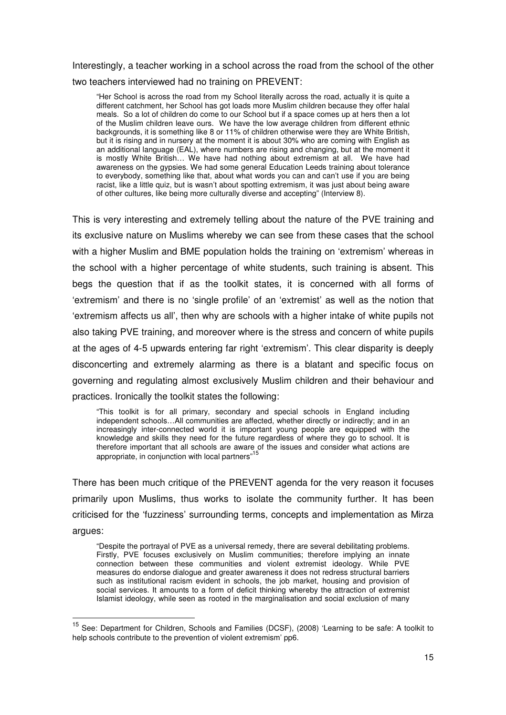Interestingly, a teacher working in a school across the road from the school of the other two teachers interviewed had no training on PREVENT:

"Her School is across the road from my School literally across the road, actually it is quite a different catchment, her School has got loads more Muslim children because they offer halal meals. So a lot of children do come to our School but if a space comes up at hers then a lot of the Muslim children leave ours. We have the low average children from different ethnic backgrounds, it is something like 8 or 11% of children otherwise were they are White British, but it is rising and in nursery at the moment it is about 30% who are coming with English as an additional language (EAL), where numbers are rising and changing, but at the moment it is mostly White British... We have had nothing about extremism at all. We have had awareness on the gypsies. We had some general Education Leeds training about tolerance to everybody, something like that, about what words you can and can't use if you are being racist, like a little quiz, but is wasn't about spotting extremism, it was just about being aware of other cultures, like being more culturally diverse and accepting" (Interview 8).

This is very interesting and extremely telling about the nature of the PVE training and its exclusive nature on Muslims whereby we can see from these cases that the school with a higher Muslim and BME population holds the training on 'extremism' whereas in the school with a higher percentage of white students, such training is absent. This begs the question that if as the toolkit states, it is concerned with all forms of 'extremism' and there is no 'single profile' of an 'extremist' as well as the notion that 'extremism affects us all', then why are schools with a higher intake of white pupils not also taking PVE training, and moreover where is the stress and concern of white pupils at the ages of 4-5 upwards entering far right 'extremism'. This clear disparity is deeply disconcerting and extremely alarming as there is a blatant and specific focus on governing and regulating almost exclusively Muslim children and their behaviour and practices. Ironically the toolkit states the following:

"This toolkit is for all primary, secondary and special schools in England including independent schools…All communities are affected, whether directly or indirectly; and in an increasingly inter-connected world it is important young people are equipped with the knowledge and skills they need for the future regardless of where they go to school. It is therefore important that all schools are aware of the issues and consider what actions are appropriate, in conjunction with local partners"<sup>15</sup>

There has been much critique of the PREVENT agenda for the very reason it focuses primarily upon Muslims, thus works to isolate the community further. It has been criticised for the 'fuzziness' surrounding terms, concepts and implementation as Mirza argues:

"Despite the portrayal of PVE as a universal remedy, there are several debilitating problems. Firstly, PVE focuses exclusively on Muslim communities; therefore implying an innate connection between these communities and violent extremist ideology. While PVE measures do endorse dialogue and greater awareness it does not redress structural barriers such as institutional racism evident in schools, the job market, housing and provision of social services. It amounts to a form of deficit thinking whereby the attraction of extremist Islamist ideology, while seen as rooted in the marginalisation and social exclusion of many

1

<sup>&</sup>lt;sup>15</sup> See: Department for Children, Schools and Families (DCSF), (2008) 'Learning to be safe: A toolkit to help schools contribute to the prevention of violent extremism' pp6.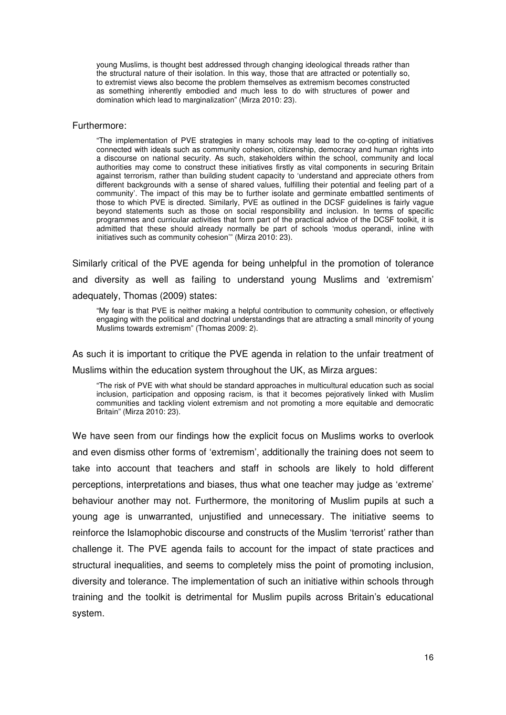young Muslims, is thought best addressed through changing ideological threads rather than the structural nature of their isolation. In this way, those that are attracted or potentially so, to extremist views also become the problem themselves as extremism becomes constructed as something inherently embodied and much less to do with structures of power and domination which lead to marginalization" (Mirza 2010: 23).

#### Furthermore:

"The implementation of PVE strategies in many schools may lead to the co-opting of initiatives connected with ideals such as community cohesion, citizenship, democracy and human rights into a discourse on national security. As such, stakeholders within the school, community and local authorities may come to construct these initiatives firstly as vital components in securing Britain against terrorism, rather than building student capacity to 'understand and appreciate others from different backgrounds with a sense of shared values, fulfilling their potential and feeling part of a community'. The impact of this may be to further isolate and germinate embattled sentiments of those to which PVE is directed. Similarly, PVE as outlined in the DCSF guidelines is fairly vague beyond statements such as those on social responsibility and inclusion. In terms of specific programmes and curricular activities that form part of the practical advice of the DCSF toolkit, it is admitted that these should already normally be part of schools 'modus operandi, inline with initiatives such as community cohesion'" (Mirza 2010: 23).

Similarly critical of the PVE agenda for being unhelpful in the promotion of tolerance and diversity as well as failing to understand young Muslims and 'extremism' adequately, Thomas (2009) states:

"My fear is that PVE is neither making a helpful contribution to community cohesion, or effectively engaging with the political and doctrinal understandings that are attracting a small minority of young Muslims towards extremism" (Thomas 2009: 2).

As such it is important to critique the PVE agenda in relation to the unfair treatment of

Muslims within the education system throughout the UK, as Mirza argues:

"The risk of PVE with what should be standard approaches in multicultural education such as social inclusion, participation and opposing racism, is that it becomes pejoratively linked with Muslim communities and tackling violent extremism and not promoting a more equitable and democratic Britain" (Mirza 2010: 23).

We have seen from our findings how the explicit focus on Muslims works to overlook and even dismiss other forms of 'extremism', additionally the training does not seem to take into account that teachers and staff in schools are likely to hold different perceptions, interpretations and biases, thus what one teacher may judge as 'extreme' behaviour another may not. Furthermore, the monitoring of Muslim pupils at such a young age is unwarranted, unjustified and unnecessary. The initiative seems to reinforce the Islamophobic discourse and constructs of the Muslim 'terrorist' rather than challenge it. The PVE agenda fails to account for the impact of state practices and structural inequalities, and seems to completely miss the point of promoting inclusion, diversity and tolerance. The implementation of such an initiative within schools through training and the toolkit is detrimental for Muslim pupils across Britain's educational system.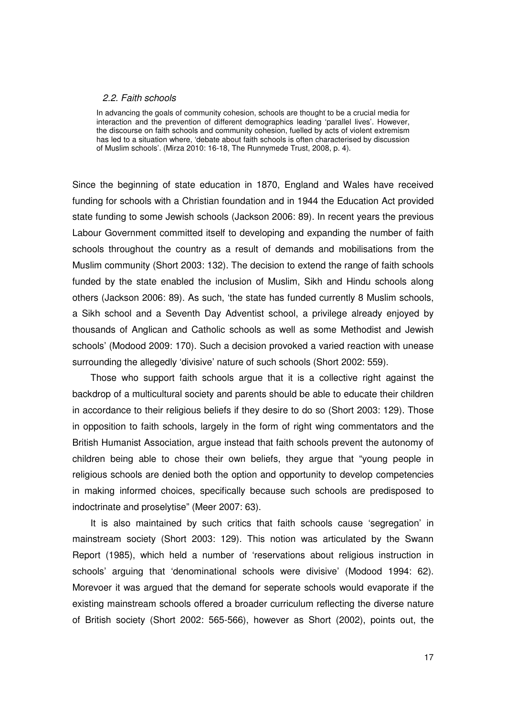# 2.2. Faith schools

In advancing the goals of community cohesion, schools are thought to be a crucial media for interaction and the prevention of different demographics leading 'parallel lives'. However, the discourse on faith schools and community cohesion, fuelled by acts of violent extremism has led to a situation where, 'debate about faith schools is often characterised by discussion of Muslim schools'. (Mirza 2010: 16-18, The Runnymede Trust, 2008, p. 4).

Since the beginning of state education in 1870, England and Wales have received funding for schools with a Christian foundation and in 1944 the Education Act provided state funding to some Jewish schools (Jackson 2006: 89). In recent years the previous Labour Government committed itself to developing and expanding the number of faith schools throughout the country as a result of demands and mobilisations from the Muslim community (Short 2003: 132). The decision to extend the range of faith schools funded by the state enabled the inclusion of Muslim, Sikh and Hindu schools along others (Jackson 2006: 89). As such, 'the state has funded currently 8 Muslim schools, a Sikh school and a Seventh Day Adventist school, a privilege already enjoyed by thousands of Anglican and Catholic schools as well as some Methodist and Jewish schools' (Modood 2009: 170). Such a decision provoked a varied reaction with unease surrounding the allegedly 'divisive' nature of such schools (Short 2002: 559).

Those who support faith schools argue that it is a collective right against the backdrop of a multicultural society and parents should be able to educate their children in accordance to their religious beliefs if they desire to do so (Short 2003: 129). Those in opposition to faith schools, largely in the form of right wing commentators and the British Humanist Association, argue instead that faith schools prevent the autonomy of children being able to chose their own beliefs, they argue that "young people in religious schools are denied both the option and opportunity to develop competencies in making informed choices, specifically because such schools are predisposed to indoctrinate and proselytise" (Meer 2007: 63).

It is also maintained by such critics that faith schools cause 'segregation' in mainstream society (Short 2003: 129). This notion was articulated by the Swann Report (1985), which held a number of 'reservations about religious instruction in schools' arguing that 'denominational schools were divisive' (Modood 1994: 62). Morevoer it was argued that the demand for seperate schools would evaporate if the existing mainstream schools offered a broader curriculum reflecting the diverse nature of British society (Short 2002: 565-566), however as Short (2002), points out, the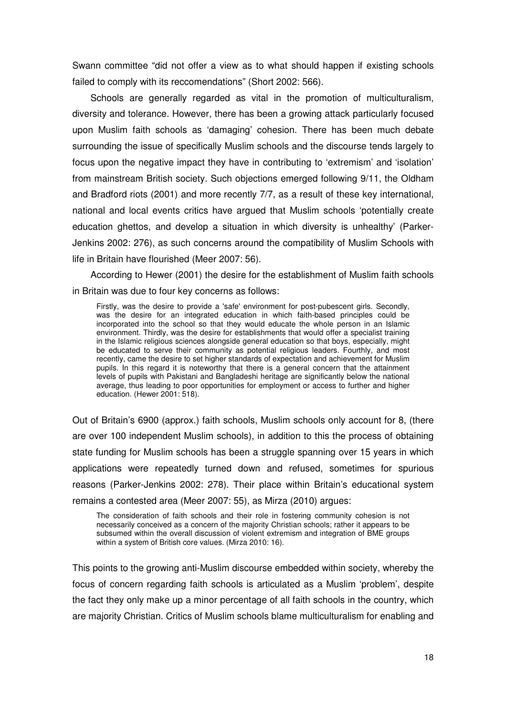Swann committee "did not offer a view as to what should happen if existing schools failed to comply with its reccomendations" (Short 2002: 566).

Schools are generally regarded as vital in the promotion of multiculturalism, diversity and tolerance. However, there has been a growing attack particularly focused upon Muslim faith schools as 'damaging' cohesion. There has been much debate surrounding the issue of specifically Muslim schools and the discourse tends largely to focus upon the negative impact they have in contributing to 'extremism' and 'isolation' from mainstream British society. Such objections emerged following 9/11, the Oldham and Bradford riots (2001) and more recently 7/7, as a result of these key international, national and local events critics have argued that Muslim schools 'potentially create education ghettos, and develop a situation in which diversity is unhealthy' (Parker-Jenkins 2002: 276), as such concerns around the compatibility of Muslim Schools with life in Britain have flourished (Meer 2007: 56).

According to Hewer (2001) the desire for the establishment of Muslim faith schools in Britain was due to four key concerns as follows:

Firstly, was the desire to provide a 'safe' environment for post-pubescent girls. Secondly, was the desire for an integrated education in which faith-based principles could be incorporated into the school so that they would educate the whole person in an Islamic environment. Thirdly, was the desire for establishments that would offer a specialist training in the Islamic religious sciences alongside general education so that boys, especially, might be educated to serve their community as potential religious leaders. Fourthly, and most recently, came the desire to set higher standards of expectation and achievement for Muslim pupils. In this regard it is noteworthy that there is a general concern that the attainment levels of pupils with Pakistani and Bangladeshi heritage are significantly below the national average, thus leading to poor opportunities for employment or access to further and higher education. (Hewer 2001: 518).

Out of Britain's 6900 (approx.) faith schools, Muslim schools only account for 8, (there are over 100 independent Muslim schools), in addition to this the process of obtaining state funding for Muslim schools has been a struggle spanning over 15 years in which applications were repeatedly turned down and refused, sometimes for spurious reasons (Parker-Jenkins 2002: 278). Their place within Britain's educational system remains a contested area (Meer 2007: 55), as Mirza (2010) argues:

The consideration of faith schools and their role in fostering community cohesion is not necessarily conceived as a concern of the majority Christian schools; rather it appears to be subsumed within the overall discussion of violent extremism and integration of BME groups within a system of British core values. (Mirza 2010: 16).

This points to the growing anti-Muslim discourse embedded within society, whereby the focus of concern regarding faith schools is articulated as a Muslim 'problem', despite the fact they only make up a minor percentage of all faith schools in the country, which are majority Christian. Critics of Muslim schools blame multiculturalism for enabling and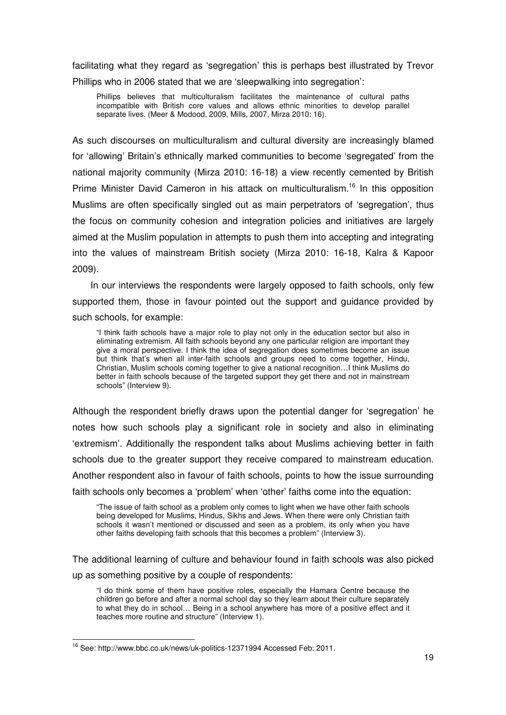facilitating what they regard as 'segregation' this is perhaps best illustrated by Trevor Phillips who in 2006 stated that we are 'sleepwalking into segregation':

Phillips believes that multiculturalism facilitates the maintenance of cultural paths incompatible with British core values and allows ethnic minorities to develop parallel separate lives. (Meer & Modood, 2009, Mills, 2007, Mirza 2010: 16).

As such discourses on multiculturalism and cultural diversity are increasingly blamed for 'allowing' Britain's ethnically marked communities to become 'segregated' from the national majority community (Mirza 2010: 16-18) a view recently cemented by British Prime Minister David Cameron in his attack on multiculturalism.<sup>16</sup> In this opposition Muslims are often specifically singled out as main perpetrators of 'segregation', thus the focus on community cohesion and integration policies and initiatives are largely aimed at the Muslim population in attempts to push them into accepting and integrating into the values of mainstream British society (Mirza 2010: 16-18, Kalra & Kapoor 2009).

In our interviews the respondents were largely opposed to faith schools, only few supported them, those in favour pointed out the support and guidance provided by such schools, for example:

"I think faith schools have a major role to play not only in the education sector but also in eliminating extremism. All faith schools beyond any one particular religion are important they give a moral perspective. I think the idea of segregation does sometimes become an issue but think that's when all inter-faith schools and groups need to come together, Hindu, Christian, Muslim schools coming together to give a national recognition…I think Muslims do better in faith schools because of the targeted support they get there and not in mainstream schools" (Interview 9).

Although the respondent briefly draws upon the potential danger for 'segregation' he notes how such schools play a significant role in society and also in eliminating 'extremism'. Additionally the respondent talks about Muslims achieving better in faith schools due to the greater support they receive compared to mainstream education. Another respondent also in favour of faith schools, points to how the issue surrounding faith schools only becomes a 'problem' when 'other' faiths come into the equation:

"The issue of faith school as a problem only comes to light when we have other faith schools being developed for Muslims, Hindus, Sikhs and Jews. When there were only Christian faith schools it wasn't mentioned or discussed and seen as a problem, its only when you have other faiths developing faith schools that this becomes a problem" (Interview 3).

The additional learning of culture and behaviour found in faith schools was also picked up as something positive by a couple of respondents:

"I do think some of them have positive roles, especially the Hamara Centre because the children go before and after a normal school day so they learn about their culture separately to what they do in school… Being in a school anywhere has more of a positive effect and it teaches more routine and structure" (Interview 1).

j

<sup>&</sup>lt;sup>16</sup> See: http://www.bbc.co.uk/news/uk-politics-12371994 Accessed Feb: 2011.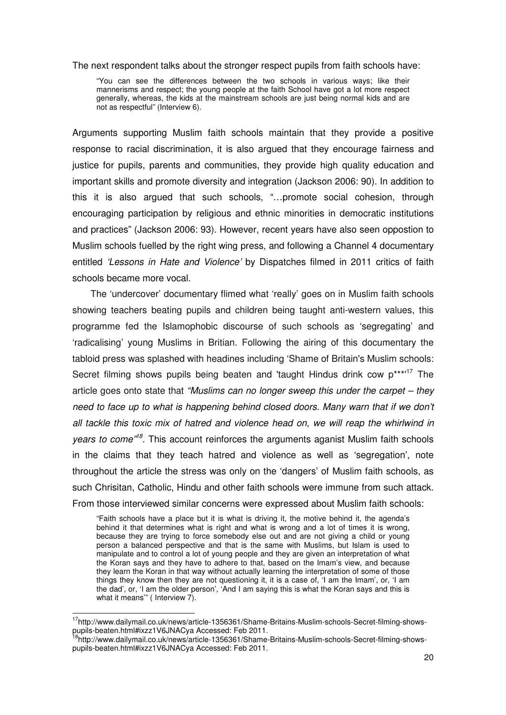The next respondent talks about the stronger respect pupils from faith schools have:

"You can see the differences between the two schools in various ways; like their mannerisms and respect; the young people at the faith School have got a lot more respect generally, whereas, the kids at the mainstream schools are just being normal kids and are not as respectful" (Interview 6).

Arguments supporting Muslim faith schools maintain that they provide a positive response to racial discrimination, it is also argued that they encourage fairness and justice for pupils, parents and communities, they provide high quality education and important skills and promote diversity and integration (Jackson 2006: 90). In addition to this it is also argued that such schools, "…promote social cohesion, through encouraging participation by religious and ethnic minorities in democratic institutions and practices" (Jackson 2006: 93). However, recent years have also seen oppostion to Muslim schools fuelled by the right wing press, and following a Channel 4 documentary entitled 'Lessons in Hate and Violence' by Dispatches filmed in 2011 critics of faith schools became more vocal.

The 'undercover' documentary flimed what 'really' goes on in Muslim faith schools showing teachers beating pupils and children being taught anti-western values, this programme fed the Islamophobic discourse of such schools as 'segregating' and 'radicalising' young Muslims in Britian. Following the airing of this documentary the tabloid press was splashed with headines including 'Shame of Britain's Muslim schools: Secret filming shows pupils being beaten and 'taught Hindus drink cow p<sup>\*\*\*\*17</sup> The article goes onto state that "Muslims can no longer sweep this under the carpet – they need to face up to what is happening behind closed doors. Many warn that if we don't all tackle this toxic mix of hatred and violence head on, we will reap the whirlwind in years to come<sup>"18</sup>. This account reinforces the arguments aganist Muslim faith schools in the claims that they teach hatred and violence as well as 'segregation', note throughout the article the stress was only on the 'dangers' of Muslim faith schools, as such Chrisitan, Catholic, Hindu and other faith schools were immune from such attack. From those interviewed similar concerns were expressed about Muslim faith schools:

"Faith schools have a place but it is what is driving it, the motive behind it, the agenda's behind it that determines what is right and what is wrong and a lot of times it is wrong, because they are trying to force somebody else out and are not giving a child or young person a balanced perspective and that is the same with Muslims, but Islam is used to manipulate and to control a lot of young people and they are given an interpretation of what the Koran says and they have to adhere to that, based on the Imam's view, and because they learn the Koran in that way without actually learning the interpretation of some of those things they know then they are not questioning it, it is a case of, 'I am the Imam', or, 'I am the dad', or, 'I am the older person', 'And I am saying this is what the Koran says and this is what it means" (Interview 7).

 $\overline{\cdot}$ 

<sup>&</sup>lt;sup>17</sup>http://www.dailymail.co.uk/news/article-1356361/Shame-Britains-Muslim-schools-Secret-filming-showspupils-beaten.html#ixzz1V6JNACya Accessed: Feb 2011.

 $^3$ http://www.dailymail.co.uk/news/article-1356361/Shame-Britains-Muslim-schools-Secret-filming-showspupils-beaten.html#ixzz1V6JNACya Accessed: Feb 2011.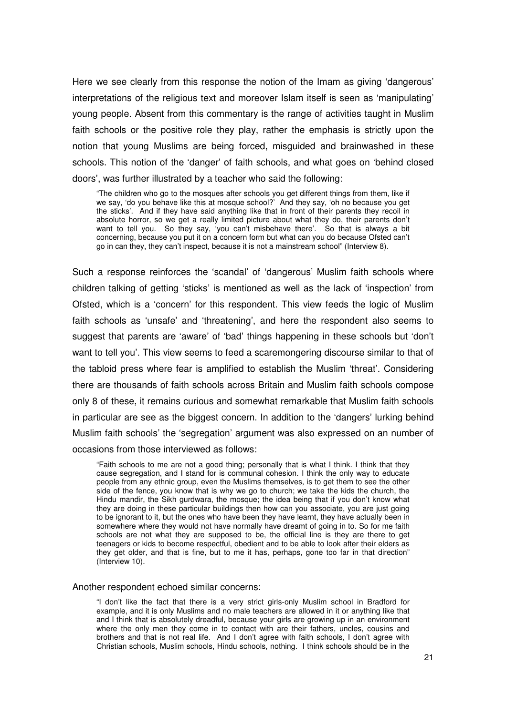Here we see clearly from this response the notion of the Imam as giving 'dangerous' interpretations of the religious text and moreover Islam itself is seen as 'manipulating' young people. Absent from this commentary is the range of activities taught in Muslim faith schools or the positive role they play, rather the emphasis is strictly upon the notion that young Muslims are being forced, misguided and brainwashed in these schools. This notion of the 'danger' of faith schools, and what goes on 'behind closed doors', was further illustrated by a teacher who said the following:

"The children who go to the mosques after schools you get different things from them, like if we say, 'do you behave like this at mosque school?' And they say, 'oh no because you get the sticks'. And if they have said anything like that in front of their parents they recoil in absolute horror, so we get a really limited picture about what they do, their parents don't want to tell you. So they say, 'you can't misbehave there'. So that is always a bit concerning, because you put it on a concern form but what can you do because Ofsted can't go in can they, they can't inspect, because it is not a mainstream school" (Interview 8).

Such a response reinforces the 'scandal' of 'dangerous' Muslim faith schools where children talking of getting 'sticks' is mentioned as well as the lack of 'inspection' from Ofsted, which is a 'concern' for this respondent. This view feeds the logic of Muslim faith schools as 'unsafe' and 'threatening', and here the respondent also seems to suggest that parents are 'aware' of 'bad' things happening in these schools but 'don't want to tell you'. This view seems to feed a scaremongering discourse similar to that of the tabloid press where fear is amplified to establish the Muslim 'threat'. Considering there are thousands of faith schools across Britain and Muslim faith schools compose only 8 of these, it remains curious and somewhat remarkable that Muslim faith schools in particular are see as the biggest concern. In addition to the 'dangers' lurking behind Muslim faith schools' the 'segregation' argument was also expressed on an number of occasions from those interviewed as follows:

"Faith schools to me are not a good thing; personally that is what I think. I think that they cause segregation, and I stand for is communal cohesion. I think the only way to educate people from any ethnic group, even the Muslims themselves, is to get them to see the other side of the fence, you know that is why we go to church; we take the kids the church, the Hindu mandir, the Sikh gurdwara, the mosque; the idea being that if you don't know what they are doing in these particular buildings then how can you associate, you are just going to be ignorant to it, but the ones who have been they have learnt, they have actually been in somewhere where they would not have normally have dreamt of going in to. So for me faith schools are not what they are supposed to be, the official line is they are there to get teenagers or kids to become respectful, obedient and to be able to look after their elders as they get older, and that is fine, but to me it has, perhaps, gone too far in that direction" (Interview 10).

#### Another respondent echoed similar concerns:

"I don't like the fact that there is a very strict girls-only Muslim school in Bradford for example, and it is only Muslims and no male teachers are allowed in it or anything like that and I think that is absolutely dreadful, because your girls are growing up in an environment where the only men they come in to contact with are their fathers, uncles, cousins and brothers and that is not real life. And I don't agree with faith schools, I don't agree with Christian schools, Muslim schools, Hindu schools, nothing. I think schools should be in the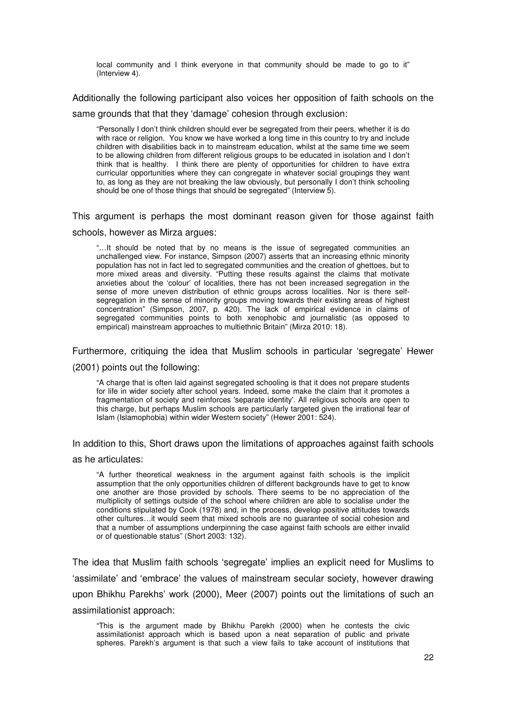local community and I think everyone in that community should be made to go to it" (Interview 4).

Additionally the following participant also voices her opposition of faith schools on the

same grounds that that they 'damage' cohesion through exclusion:

"Personally I don't think children should ever be segregated from their peers, whether it is do with race or religion. You know we have worked a long time in this country to try and include children with disabilities back in to mainstream education, whilst at the same time we seem to be allowing children from different religious groups to be educated in isolation and I don't think that is healthy. I think there are plenty of opportunities for children to have extra curricular opportunities where they can congregate in whatever social groupings they want to, as long as they are not breaking the law obviously, but personally I don't think schooling should be one of those things that should be segregated" (Interview 5).

This argument is perhaps the most dominant reason given for those against faith schools, however as Mirza argues:

"…It should be noted that by no means is the issue of segregated communities an unchallenged view. For instance, Simpson (2007) asserts that an increasing ethnic minority population has not in fact led to segregated communities and the creation of ghettoes, but to more mixed areas and diversity. "Putting these results against the claims that motivate anxieties about the 'colour' of localities, there has not been increased segregation in the sense of more uneven distribution of ethnic groups across localities. Nor is there selfsegregation in the sense of minority groups moving towards their existing areas of highest concentration" (Simpson, 2007, p. 420). The lack of empirical evidence in claims of segregated communities points to both xenophobic and journalistic (as opposed to empirical) mainstream approaches to multiethnic Britain" (Mirza 2010: 18).

# Furthermore, critiquing the idea that Muslim schools in particular 'segregate' Hewer

(2001) points out the following:

"A charge that is often laid against segregated schooling is that it does not prepare students for life in wider society after school years. Indeed, some make the claim that it promotes a fragmentation of society and reinforces 'separate identity'. All religious schools are open to this charge, but perhaps Muslim schools are particularly targeted given the irrational fear of Islam (Islamophobia) within wider Western society" (Hewer 2001: 524).

In addition to this, Short draws upon the limitations of approaches against faith schools

as he articulates:

"A further theoretical weakness in the argument against faith schools is the implicit assumption that the only opportunities children of different backgrounds have to get to know one another are those provided by schools. There seems to be no appreciation of the multiplicity of settings outside of the school where children are able to socialise under the conditions stipulated by Cook (1978) and, in the process, develop positive attitudes towards other cultures…it would seem that mixed schools are no guarantee of social cohesion and that a number of assumptions underpinning the case against faith schools are either invalid or of questionable status" (Short 2003: 132).

The idea that Muslim faith schools 'segregate' implies an explicit need for Muslims to 'assimilate' and 'embrace' the values of mainstream secular society, however drawing upon Bhikhu Parekhs' work (2000), Meer (2007) points out the limitations of such an assimilationist approach:

"This is the argument made by Bhikhu Parekh (2000) when he contests the civic assimilationist approach which is based upon a neat separation of public and private spheres. Parekh's argument is that such a view fails to take account of institutions that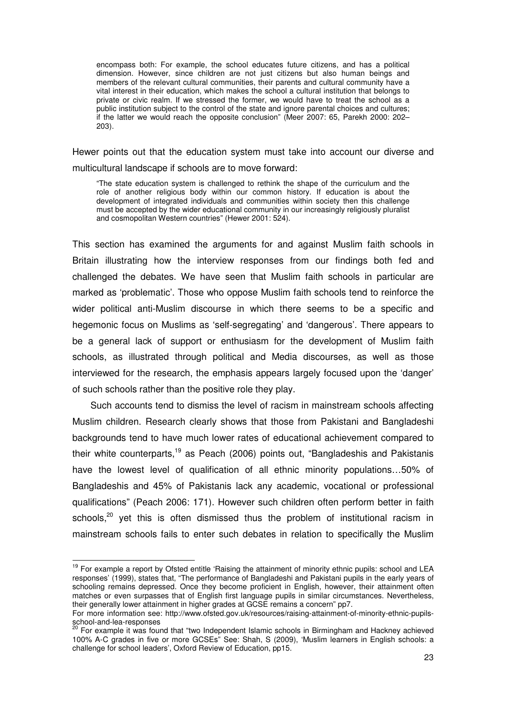encompass both: For example, the school educates future citizens, and has a political dimension. However, since children are not just citizens but also human beings and members of the relevant cultural communities, their parents and cultural community have a vital interest in their education, which makes the school a cultural institution that belongs to private or civic realm. If we stressed the former, we would have to treat the school as a public institution subject to the control of the state and ignore parental choices and cultures; if the latter we would reach the opposite conclusion" (Meer 2007: 65, Parekh 2000: 202– 203).

Hewer points out that the education system must take into account our diverse and multicultural landscape if schools are to move forward:

"The state education system is challenged to rethink the shape of the curriculum and the role of another religious body within our common history. If education is about the development of integrated individuals and communities within society then this challenge must be accepted by the wider educational community in our increasingly religiously pluralist and cosmopolitan Western countries" (Hewer 2001: 524).

This section has examined the arguments for and against Muslim faith schools in Britain illustrating how the interview responses from our findings both fed and challenged the debates. We have seen that Muslim faith schools in particular are marked as 'problematic'. Those who oppose Muslim faith schools tend to reinforce the wider political anti-Muslim discourse in which there seems to be a specific and hegemonic focus on Muslims as 'self-segregating' and 'dangerous'. There appears to be a general lack of support or enthusiasm for the development of Muslim faith schools, as illustrated through political and Media discourses, as well as those interviewed for the research, the emphasis appears largely focused upon the 'danger' of such schools rather than the positive role they play.

Such accounts tend to dismiss the level of racism in mainstream schools affecting Muslim children. Research clearly shows that those from Pakistani and Bangladeshi backgrounds tend to have much lower rates of educational achievement compared to their white counterparts.<sup>19</sup> as Peach (2006) points out, "Bangladeshis and Pakistanis have the lowest level of qualification of all ethnic minority populations…50% of Bangladeshis and 45% of Pakistanis lack any academic, vocational or professional qualifications" (Peach 2006: 171). However such children often perform better in faith schools,<sup>20</sup> yet this is often dismissed thus the problem of institutional racism in mainstream schools fails to enter such debates in relation to specifically the Muslim

 $\overline{a}$ 

<sup>&</sup>lt;sup>19</sup> For example a report by Ofsted entitle 'Raising the attainment of minority ethnic pupils: school and LEA responses' (1999), states that, "The performance of Bangladeshi and Pakistani pupils in the early years of schooling remains depressed. Once they become proficient in English, however, their attainment often matches or even surpasses that of English first language pupils in similar circumstances. Nevertheless, their generally lower attainment in higher grades at GCSE remains a concern" pp7.

For more information see: http://www.ofsted.gov.uk/resources/raising-attainment-of-minority-ethnic-pupilsschool-and-lea-responses

<sup>&</sup>lt;sup>20</sup> For example it was found that "two Independent Islamic schools in Birmingham and Hackney achieved 100% A-C grades in five or more GCSEs" See: Shah, S (2009), 'Muslim learners in English schools: a challenge for school leaders', Oxford Review of Education, pp15.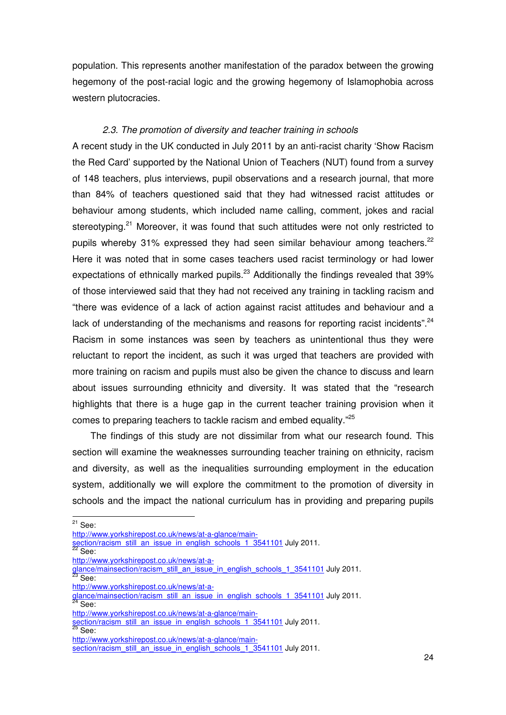population. This represents another manifestation of the paradox between the growing hegemony of the post-racial logic and the growing hegemony of Islamophobia across western plutocracies.

# 2.3. The promotion of diversity and teacher training in schools

A recent study in the UK conducted in July 2011 by an anti-racist charity 'Show Racism the Red Card' supported by the National Union of Teachers (NUT) found from a survey of 148 teachers, plus interviews, pupil observations and a research journal, that more than 84% of teachers questioned said that they had witnessed racist attitudes or behaviour among students, which included name calling, comment, jokes and racial stereotyping.<sup>21</sup> Moreover, it was found that such attitudes were not only restricted to pupils whereby 31% expressed they had seen similar behaviour among teachers.<sup>22</sup> Here it was noted that in some cases teachers used racist terminology or had lower expectations of ethnically marked pupils. $^{23}$  Additionally the findings revealed that 39% of those interviewed said that they had not received any training in tackling racism and "there was evidence of a lack of action against racist attitudes and behaviour and a lack of understanding of the mechanisms and reasons for reporting racist incidents".<sup>24</sup> Racism in some instances was seen by teachers as unintentional thus they were reluctant to report the incident, as such it was urged that teachers are provided with more training on racism and pupils must also be given the chance to discuss and learn about issues surrounding ethnicity and diversity. It was stated that the "research highlights that there is a huge gap in the current teacher training provision when it comes to preparing teachers to tackle racism and embed equality."<sup>25</sup>

The findings of this study are not dissimilar from what our research found. This section will examine the weaknesses surrounding teacher training on ethnicity, racism and diversity, as well as the inequalities surrounding employment in the education system, additionally we will explore the commitment to the promotion of diversity in schools and the impact the national curriculum has in providing and preparing pupils

 $\overline{a}$  $^{21}$  See:

http://www.yorkshirepost.co.uk/news/at-a-glance/main-

section/racism\_still\_an\_issue\_in\_english\_schools\_1\_3541101 July 2011.

 $22$  See: http://www.yorkshirepost.co.uk/news/at-a-

glance/mainsection/racism\_still\_an\_issue\_in\_english\_schools\_1\_3541101 July 2011.  $23$  See:

http://www.yorkshirepost.co.uk/news/at-a-

glance/mainsection/racism\_still\_an\_issue\_in\_english\_schools\_1\_3541101 July 2011.

 $24$  See:

http://www.yorkshirepost.co.uk/news/at-a-glance/main-

section/racism\_still\_an\_issue\_in\_english\_schools\_1\_3541101 July 2011.

 $25$  See:

http://www.yorkshirepost.co.uk/news/at-a-glance/main-

section/racism\_still\_an\_issue\_in\_english\_schools\_1\_3541101 July 2011.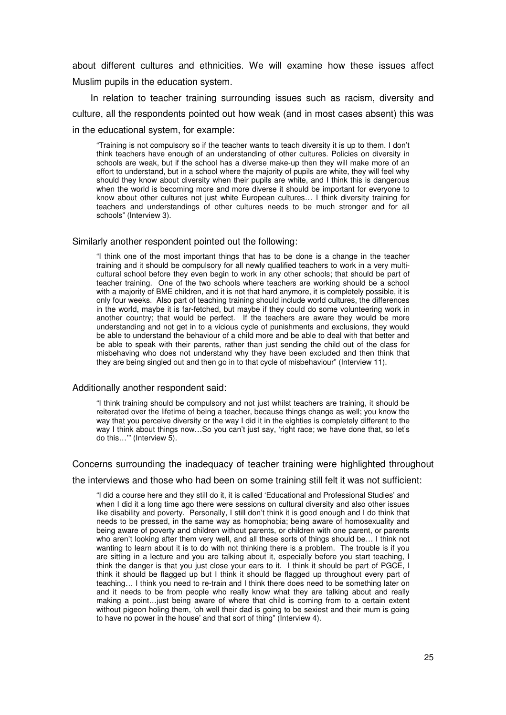about different cultures and ethnicities. We will examine how these issues affect Muslim pupils in the education system.

In relation to teacher training surrounding issues such as racism, diversity and culture, all the respondents pointed out how weak (and in most cases absent) this was in the educational system, for example:

"Training is not compulsory so if the teacher wants to teach diversity it is up to them. I don't think teachers have enough of an understanding of other cultures. Policies on diversity in schools are weak, but if the school has a diverse make-up then they will make more of an effort to understand, but in a school where the majority of pupils are white, they will feel why should they know about diversity when their pupils are white, and I think this is dangerous when the world is becoming more and more diverse it should be important for everyone to know about other cultures not just white European cultures… I think diversity training for teachers and understandings of other cultures needs to be much stronger and for all schools" (Interview 3).

## Similarly another respondent pointed out the following:

"I think one of the most important things that has to be done is a change in the teacher training and it should be compulsory for all newly qualified teachers to work in a very multicultural school before they even begin to work in any other schools; that should be part of teacher training. One of the two schools where teachers are working should be a school with a majority of BME children, and it is not that hard anymore, it is completely possible, it is only four weeks. Also part of teaching training should include world cultures, the differences in the world, maybe it is far-fetched, but maybe if they could do some volunteering work in another country; that would be perfect. If the teachers are aware they would be more understanding and not get in to a vicious cycle of punishments and exclusions, they would be able to understand the behaviour of a child more and be able to deal with that better and be able to speak with their parents, rather than just sending the child out of the class for misbehaving who does not understand why they have been excluded and then think that they are being singled out and then go in to that cycle of misbehaviour" (Interview 11).

## Additionally another respondent said:

"I think training should be compulsory and not just whilst teachers are training, it should be reiterated over the lifetime of being a teacher, because things change as well; you know the way that you perceive diversity or the way I did it in the eighties is completely different to the way I think about things now...So you can't just say, 'right race; we have done that, so let's do this…'" (Interview 5).

# Concerns surrounding the inadequacy of teacher training were highlighted throughout

#### the interviews and those who had been on some training still felt it was not sufficient:

"I did a course here and they still do it, it is called 'Educational and Professional Studies' and when I did it a long time ago there were sessions on cultural diversity and also other issues like disability and poverty. Personally, I still don't think it is good enough and I do think that needs to be pressed, in the same way as homophobia; being aware of homosexuality and being aware of poverty and children without parents, or children with one parent, or parents who aren't looking after them very well, and all these sorts of things should be… I think not wanting to learn about it is to do with not thinking there is a problem. The trouble is if you are sitting in a lecture and you are talking about it, especially before you start teaching, I think the danger is that you just close your ears to it. I think it should be part of PGCE, I think it should be flagged up but I think it should be flagged up throughout every part of teaching… I think you need to re-train and I think there does need to be something later on and it needs to be from people who really know what they are talking about and really making a point…just being aware of where that child is coming from to a certain extent without pigeon holing them, 'oh well their dad is going to be sexiest and their mum is going to have no power in the house' and that sort of thing" (Interview 4).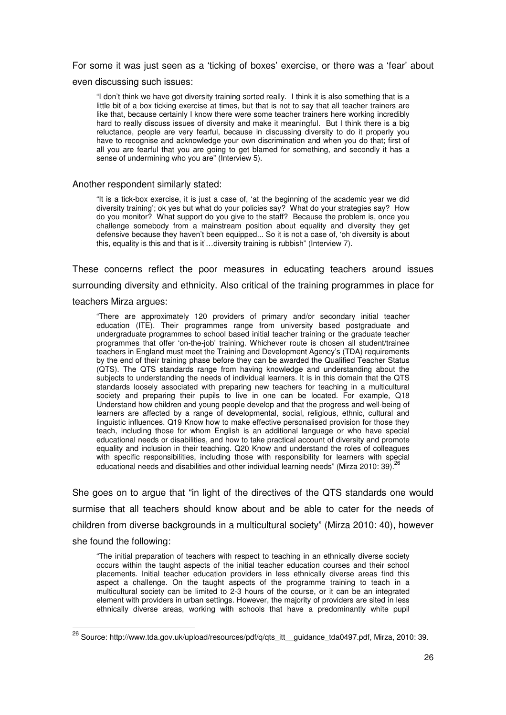# For some it was just seen as a 'ticking of boxes' exercise, or there was a 'fear' about

even discussing such issues:

"I don't think we have got diversity training sorted really. I think it is also something that is a little bit of a box ticking exercise at times, but that is not to say that all teacher trainers are like that, because certainly I know there were some teacher trainers here working incredibly hard to really discuss issues of diversity and make it meaningful. But I think there is a big reluctance, people are very fearful, because in discussing diversity to do it properly you have to recognise and acknowledge your own discrimination and when you do that; first of all you are fearful that you are going to get blamed for something, and secondly it has a sense of undermining who you are" (Interview 5).

#### Another respondent similarly stated:

"It is a tick-box exercise, it is just a case of, 'at the beginning of the academic year we did diversity training'; ok yes but what do your policies say? What do your strategies say? How do you monitor? What support do you give to the staff? Because the problem is, once you challenge somebody from a mainstream position about equality and diversity they get defensive because they haven't been equipped... So it is not a case of, 'oh diversity is about this, equality is this and that is it'…diversity training is rubbish" (Interview 7).

These concerns reflect the poor measures in educating teachers around issues surrounding diversity and ethnicity. Also critical of the training programmes in place for

# teachers Mirza argues:

j

"There are approximately 120 providers of primary and/or secondary initial teacher education (ITE). Their programmes range from university based postgraduate and undergraduate programmes to school based initial teacher training or the graduate teacher programmes that offer 'on-the-job' training. Whichever route is chosen all student/trainee teachers in England must meet the Training and Development Agency's (TDA) requirements by the end of their training phase before they can be awarded the Qualified Teacher Status (QTS). The QTS standards range from having knowledge and understanding about the subjects to understanding the needs of individual learners. It is in this domain that the QTS standards loosely associated with preparing new teachers for teaching in a multicultural society and preparing their pupils to live in one can be located. For example, Q18 Understand how children and young people develop and that the progress and well-being of learners are affected by a range of developmental, social, religious, ethnic, cultural and linguistic influences. Q19 Know how to make effective personalised provision for those they teach, including those for whom English is an additional language or who have special educational needs or disabilities, and how to take practical account of diversity and promote equality and inclusion in their teaching. Q20 Know and understand the roles of colleagues with specific responsibilities, including those with responsibility for learners with special educational needs and disabilities and other individual learning needs" (Mirza 2010: 39).  $^{26}$ 

She goes on to argue that "in light of the directives of the QTS standards one would surmise that all teachers should know about and be able to cater for the needs of children from diverse backgrounds in a multicultural society" (Mirza 2010: 40), however she found the following:

"The initial preparation of teachers with respect to teaching in an ethnically diverse society occurs within the taught aspects of the initial teacher education courses and their school placements. Initial teacher education providers in less ethnically diverse areas find this aspect a challenge. On the taught aspects of the programme training to teach in a multicultural society can be limited to 2-3 hours of the course, or it can be an integrated element with providers in urban settings. However, the majority of providers are sited in less ethnically diverse areas, working with schools that have a predominantly white pupil

<sup>&</sup>lt;sup>26</sup> Source: http://www.tda.gov.uk/upload/resources/pdf/q/qts\_itt\_\_guidance\_tda0497.pdf, Mirza, 2010: 39.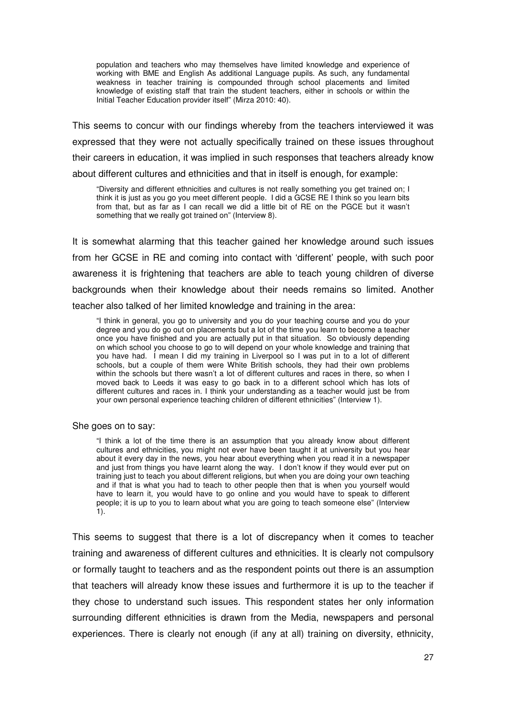population and teachers who may themselves have limited knowledge and experience of working with BME and English As additional Language pupils. As such, any fundamental weakness in teacher training is compounded through school placements and limited knowledge of existing staff that train the student teachers, either in schools or within the Initial Teacher Education provider itself" (Mirza 2010: 40).

This seems to concur with our findings whereby from the teachers interviewed it was expressed that they were not actually specifically trained on these issues throughout their careers in education, it was implied in such responses that teachers already know about different cultures and ethnicities and that in itself is enough, for example:

"Diversity and different ethnicities and cultures is not really something you get trained on; I think it is just as you go you meet different people. I did a GCSE RE I think so you learn bits from that, but as far as I can recall we did a little bit of RE on the PGCE but it wasn't something that we really got trained on" (Interview 8).

It is somewhat alarming that this teacher gained her knowledge around such issues from her GCSE in RE and coming into contact with 'different' people, with such poor awareness it is frightening that teachers are able to teach young children of diverse backgrounds when their knowledge about their needs remains so limited. Another teacher also talked of her limited knowledge and training in the area:

"I think in general, you go to university and you do your teaching course and you do your degree and you do go out on placements but a lot of the time you learn to become a teacher once you have finished and you are actually put in that situation. So obviously depending on which school you choose to go to will depend on your whole knowledge and training that you have had. I mean I did my training in Liverpool so I was put in to a lot of different schools, but a couple of them were White British schools, they had their own problems within the schools but there wasn't a lot of different cultures and races in there, so when I moved back to Leeds it was easy to go back in to a different school which has lots of different cultures and races in. I think your understanding as a teacher would just be from your own personal experience teaching children of different ethnicities" (Interview 1).

## She goes on to say:

"I think a lot of the time there is an assumption that you already know about different cultures and ethnicities, you might not ever have been taught it at university but you hear about it every day in the news, you hear about everything when you read it in a newspaper and just from things you have learnt along the way. I don't know if they would ever put on training just to teach you about different religions, but when you are doing your own teaching and if that is what you had to teach to other people then that is when you yourself would have to learn it, you would have to go online and you would have to speak to different people; it is up to you to learn about what you are going to teach someone else" (Interview 1).

This seems to suggest that there is a lot of discrepancy when it comes to teacher training and awareness of different cultures and ethnicities. It is clearly not compulsory or formally taught to teachers and as the respondent points out there is an assumption that teachers will already know these issues and furthermore it is up to the teacher if they chose to understand such issues. This respondent states her only information surrounding different ethnicities is drawn from the Media, newspapers and personal experiences. There is clearly not enough (if any at all) training on diversity, ethnicity,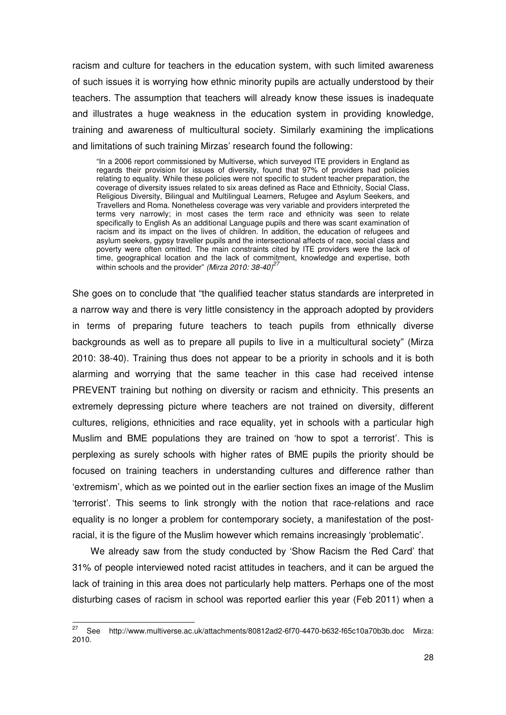racism and culture for teachers in the education system, with such limited awareness of such issues it is worrying how ethnic minority pupils are actually understood by their teachers. The assumption that teachers will already know these issues is inadequate and illustrates a huge weakness in the education system in providing knowledge, training and awareness of multicultural society. Similarly examining the implications and limitations of such training Mirzas' research found the following:

"In a 2006 report commissioned by Multiverse, which surveyed ITE providers in England as regards their provision for issues of diversity, found that 97% of providers had policies relating to equality. While these policies were not specific to student teacher preparation, the coverage of diversity issues related to six areas defined as Race and Ethnicity, Social Class, Religious Diversity, Bilingual and Multilingual Learners, Refugee and Asylum Seekers, and Travellers and Roma. Nonetheless coverage was very variable and providers interpreted the terms very narrowly; in most cases the term race and ethnicity was seen to relate specifically to English As an additional Language pupils and there was scant examination of racism and its impact on the lives of children. In addition, the education of refugees and asylum seekers, gypsy traveller pupils and the intersectional affects of race, social class and poverty were often omitted. The main constraints cited by ITE providers were the lack of time, geographical location and the lack of commitment, knowledge and expertise, both<br>within schools and the provider" *(Mirza 2010: 38-40)<sup>27</sup>* 

She goes on to conclude that "the qualified teacher status standards are interpreted in a narrow way and there is very little consistency in the approach adopted by providers in terms of preparing future teachers to teach pupils from ethnically diverse backgrounds as well as to prepare all pupils to live in a multicultural society" (Mirza 2010: 38-40). Training thus does not appear to be a priority in schools and it is both alarming and worrying that the same teacher in this case had received intense PREVENT training but nothing on diversity or racism and ethnicity. This presents an extremely depressing picture where teachers are not trained on diversity, different cultures, religions, ethnicities and race equality, yet in schools with a particular high Muslim and BME populations they are trained on 'how to spot a terrorist'. This is perplexing as surely schools with higher rates of BME pupils the priority should be focused on training teachers in understanding cultures and difference rather than 'extremism', which as we pointed out in the earlier section fixes an image of the Muslim 'terrorist'. This seems to link strongly with the notion that race-relations and race equality is no longer a problem for contemporary society, a manifestation of the postracial, it is the figure of the Muslim however which remains increasingly 'problematic'.

We already saw from the study conducted by 'Show Racism the Red Card' that 31% of people interviewed noted racist attitudes in teachers, and it can be argued the lack of training in this area does not particularly help matters. Perhaps one of the most disturbing cases of racism in school was reported earlier this year (Feb 2011) when a

j

<sup>27</sup> See http://www.multiverse.ac.uk/attachments/80812ad2-6f70-4470-b632-f65c10a70b3b.doc Mirza: 2010.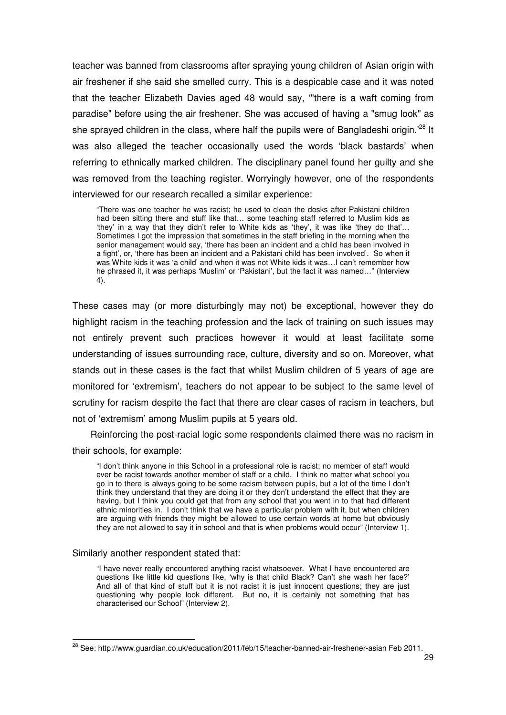teacher was banned from classrooms after spraying young children of Asian origin with air freshener if she said she smelled curry. This is a despicable case and it was noted that the teacher Elizabeth Davies aged 48 would say, '"there is a waft coming from paradise" before using the air freshener. She was accused of having a "smug look" as she sprayed children in the class, where half the pupils were of Bangladeshi origin.<sup>28</sup> It was also alleged the teacher occasionally used the words 'black bastards' when referring to ethnically marked children. The disciplinary panel found her guilty and she was removed from the teaching register. Worryingly however, one of the respondents interviewed for our research recalled a similar experience:

"There was one teacher he was racist; he used to clean the desks after Pakistani children had been sitting there and stuff like that… some teaching staff referred to Muslim kids as 'they' in a way that they didn't refer to White kids as 'they', it was like 'they do that'… Sometimes I got the impression that sometimes in the staff briefing in the morning when the senior management would say, 'there has been an incident and a child has been involved in a fight', or, 'there has been an incident and a Pakistani child has been involved'. So when it was White kids it was 'a child' and when it was not White kids it was…I can't remember how he phrased it, it was perhaps 'Muslim' or 'Pakistani', but the fact it was named…" (Interview 4).

These cases may (or more disturbingly may not) be exceptional, however they do highlight racism in the teaching profession and the lack of training on such issues may not entirely prevent such practices however it would at least facilitate some understanding of issues surrounding race, culture, diversity and so on. Moreover, what stands out in these cases is the fact that whilst Muslim children of 5 years of age are monitored for 'extremism', teachers do not appear to be subject to the same level of scrutiny for racism despite the fact that there are clear cases of racism in teachers, but not of 'extremism' among Muslim pupils at 5 years old.

Reinforcing the post-racial logic some respondents claimed there was no racism in their schools, for example:

"I don't think anyone in this School in a professional role is racist; no member of staff would ever be racist towards another member of staff or a child. I think no matter what school you go in to there is always going to be some racism between pupils, but a lot of the time I don't think they understand that they are doing it or they don't understand the effect that they are having, but I think you could get that from any school that you went in to that had different ethnic minorities in. I don't think that we have a particular problem with it, but when children are arguing with friends they might be allowed to use certain words at home but obviously they are not allowed to say it in school and that is when problems would occur" (Interview 1).

# Similarly another respondent stated that:

"I have never really encountered anything racist whatsoever. What I have encountered are questions like little kid questions like, 'why is that child Black? Can't she wash her face?' And all of that kind of stuff but it is not racist it is just innocent questions; they are just questioning why people look different. But no, it is certainly not something that has characterised our School" (Interview 2).

j  $^{28}$  See: http://www.guardian.co.uk/education/2011/feb/15/teacher-banned-air-freshener-asian Feb 2011.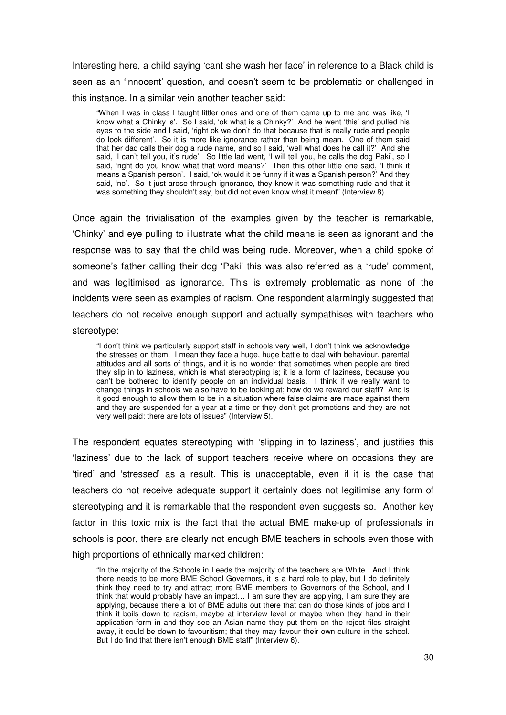Interesting here, a child saying 'cant she wash her face' in reference to a Black child is seen as an 'innocent' question, and doesn't seem to be problematic or challenged in this instance. In a similar vein another teacher said:

"When I was in class I taught littler ones and one of them came up to me and was like, 'I know what a Chinky is'. So I said, 'ok what is a Chinky?' And he went 'this' and pulled his eyes to the side and I said, 'right ok we don't do that because that is really rude and people do look different'. So it is more like ignorance rather than being mean. One of them said that her dad calls their dog a rude name, and so I said, 'well what does he call it?' And she said, 'I can't tell you, it's rude'. So little lad went, 'I will tell you, he calls the dog Paki', so I said, 'right do you know what that word means?' Then this other little one said, 'I think it means a Spanish person'. I said, 'ok would it be funny if it was a Spanish person?' And they said, 'no'. So it just arose through ignorance, they knew it was something rude and that it was something they shouldn't say, but did not even know what it meant" (Interview 8).

Once again the trivialisation of the examples given by the teacher is remarkable, 'Chinky' and eye pulling to illustrate what the child means is seen as ignorant and the response was to say that the child was being rude. Moreover, when a child spoke of someone's father calling their dog 'Paki' this was also referred as a 'rude' comment, and was legitimised as ignorance. This is extremely problematic as none of the incidents were seen as examples of racism. One respondent alarmingly suggested that teachers do not receive enough support and actually sympathises with teachers who stereotype:

"I don't think we particularly support staff in schools very well, I don't think we acknowledge the stresses on them. I mean they face a huge, huge battle to deal with behaviour, parental attitudes and all sorts of things, and it is no wonder that sometimes when people are tired they slip in to laziness, which is what stereotyping is; it is a form of laziness, because you can't be bothered to identify people on an individual basis. I think if we really want to change things in schools we also have to be looking at; how do we reward our staff? And is it good enough to allow them to be in a situation where false claims are made against them and they are suspended for a year at a time or they don't get promotions and they are not very well paid; there are lots of issues" (Interview 5).

The respondent equates stereotyping with 'slipping in to laziness', and justifies this 'laziness' due to the lack of support teachers receive where on occasions they are 'tired' and 'stressed' as a result. This is unacceptable, even if it is the case that teachers do not receive adequate support it certainly does not legitimise any form of stereotyping and it is remarkable that the respondent even suggests so. Another key factor in this toxic mix is the fact that the actual BME make-up of professionals in schools is poor, there are clearly not enough BME teachers in schools even those with high proportions of ethnically marked children:

"In the majority of the Schools in Leeds the majority of the teachers are White. And I think there needs to be more BME School Governors, it is a hard role to play, but I do definitely think they need to try and attract more BME members to Governors of the School, and I think that would probably have an impact… I am sure they are applying, I am sure they are applying, because there a lot of BME adults out there that can do those kinds of jobs and I think it boils down to racism, maybe at interview level or maybe when they hand in their application form in and they see an Asian name they put them on the reject files straight away, it could be down to favouritism; that they may favour their own culture in the school. But I do find that there isn't enough BME staff" (Interview 6).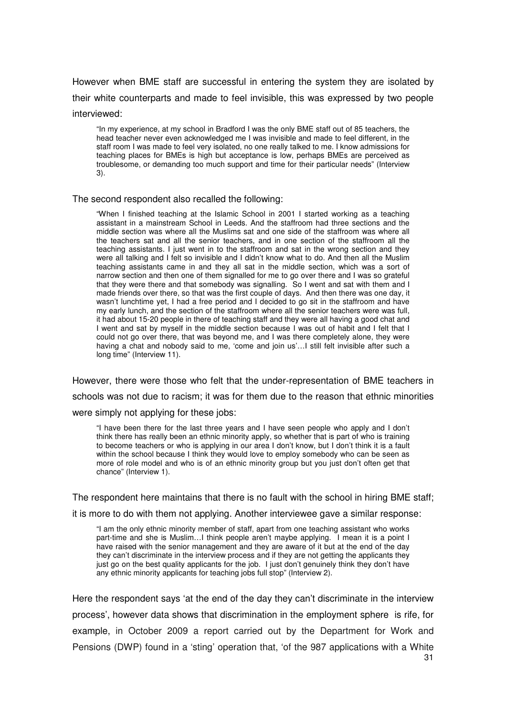However when BME staff are successful in entering the system they are isolated by their white counterparts and made to feel invisible, this was expressed by two people interviewed:

"In my experience, at my school in Bradford I was the only BME staff out of 85 teachers, the head teacher never even acknowledged me I was invisible and made to feel different, in the staff room I was made to feel very isolated, no one really talked to me. I know admissions for teaching places for BMEs is high but acceptance is low, perhaps BMEs are perceived as troublesome, or demanding too much support and time for their particular needs" (Interview 3).

## The second respondent also recalled the following:

"When I finished teaching at the Islamic School in 2001 I started working as a teaching assistant in a mainstream School in Leeds. And the staffroom had three sections and the middle section was where all the Muslims sat and one side of the staffroom was where all the teachers sat and all the senior teachers, and in one section of the staffroom all the teaching assistants. I just went in to the staffroom and sat in the wrong section and they were all talking and I felt so invisible and I didn't know what to do. And then all the Muslim teaching assistants came in and they all sat in the middle section, which was a sort of narrow section and then one of them signalled for me to go over there and I was so grateful that they were there and that somebody was signalling. So I went and sat with them and I made friends over there, so that was the first couple of days. And then there was one day, it wasn't lunchtime yet, I had a free period and I decided to go sit in the staffroom and have my early lunch, and the section of the staffroom where all the senior teachers were was full, it had about 15-20 people in there of teaching staff and they were all having a good chat and I went and sat by myself in the middle section because I was out of habit and I felt that I could not go over there, that was beyond me, and I was there completely alone, they were having a chat and nobody said to me, 'come and join us'... I still felt invisible after such a long time" (Interview 11).

However, there were those who felt that the under-representation of BME teachers in schools was not due to racism; it was for them due to the reason that ethnic minorities were simply not applying for these jobs:

"I have been there for the last three years and I have seen people who apply and I don't think there has really been an ethnic minority apply, so whether that is part of who is training to become teachers or who is applying in our area I don't know, but I don't think it is a fault within the school because I think they would love to employ somebody who can be seen as more of role model and who is of an ethnic minority group but you just don't often get that chance" (Interview 1).

The respondent here maintains that there is no fault with the school in hiring BME staff;

it is more to do with them not applying. Another interviewee gave a similar response:

"I am the only ethnic minority member of staff, apart from one teaching assistant who works part-time and she is Muslim...I think people aren't maybe applying. I mean it is a point I have raised with the senior management and they are aware of it but at the end of the day they can't discriminate in the interview process and if they are not getting the applicants they just go on the best quality applicants for the job. I just don't genuinely think they don't have any ethnic minority applicants for teaching jobs full stop" (Interview 2).

Here the respondent says 'at the end of the day they can't discriminate in the interview process', however data shows that discrimination in the employment sphere is rife, for example, in October 2009 a report carried out by the Department for Work and Pensions (DWP) found in a 'sting' operation that, 'of the 987 applications with a White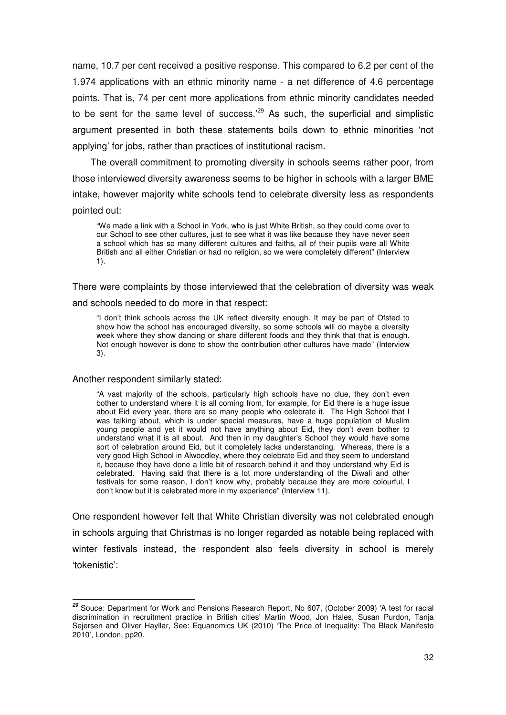name, 10.7 per cent received a positive response. This compared to 6.2 per cent of the 1,974 applications with an ethnic minority name - a net difference of 4.6 percentage points. That is, 74 per cent more applications from ethnic minority candidates needed to be sent for the same level of success.<sup>29</sup> As such, the superficial and simplistic argument presented in both these statements boils down to ethnic minorities 'not applying' for jobs, rather than practices of institutional racism.

The overall commitment to promoting diversity in schools seems rather poor, from those interviewed diversity awareness seems to be higher in schools with a larger BME intake, however majority white schools tend to celebrate diversity less as respondents pointed out:

"We made a link with a School in York, who is just White British, so they could come over to our School to see other cultures, just to see what it was like because they have never seen a school which has so many different cultures and faiths, all of their pupils were all White British and all either Christian or had no religion, so we were completely different" (Interview 1).

There were complaints by those interviewed that the celebration of diversity was weak

# and schools needed to do more in that respect:

"I don't think schools across the UK reflect diversity enough. It may be part of Ofsted to show how the school has encouraged diversity, so some schools will do maybe a diversity week where they show dancing or share different foods and they think that that is enough. Not enough however is done to show the contribution other cultures have made" (Interview 3).

# Another respondent similarly stated:

"A vast majority of the schools, particularly high schools have no clue, they don't even bother to understand where it is all coming from, for example, for Eid there is a huge issue about Eid every year, there are so many people who celebrate it. The High School that I was talking about, which is under special measures, have a huge population of Muslim young people and yet it would not have anything about Eid, they don't even bother to understand what it is all about. And then in my daughter's School they would have some sort of celebration around Eid, but it completely lacks understanding. Whereas, there is a very good High School in Alwoodley, where they celebrate Eid and they seem to understand it, because they have done a little bit of research behind it and they understand why Eid is celebrated. Having said that there is a lot more understanding of the Diwali and other festivals for some reason, I don't know why, probably because they are more colourful, I don't know but it is celebrated more in my experience" (Interview 11).

One respondent however felt that White Christian diversity was not celebrated enough in schools arguing that Christmas is no longer regarded as notable being replaced with winter festivals instead, the respondent also feels diversity in school is merely 'tokenistic':

l **<sup>29</sup>** Souce: Department for Work and Pensions Research Report, No 607, (October 2009) 'A test for racial discrimination in recruitment practice in British cities' Martin Wood, Jon Hales, Susan Purdon, Tanja Sejersen and Oliver Hayllar, See: Equanomics UK (2010) 'The Price of Inequality: The Black Manifesto 2010', London, pp20.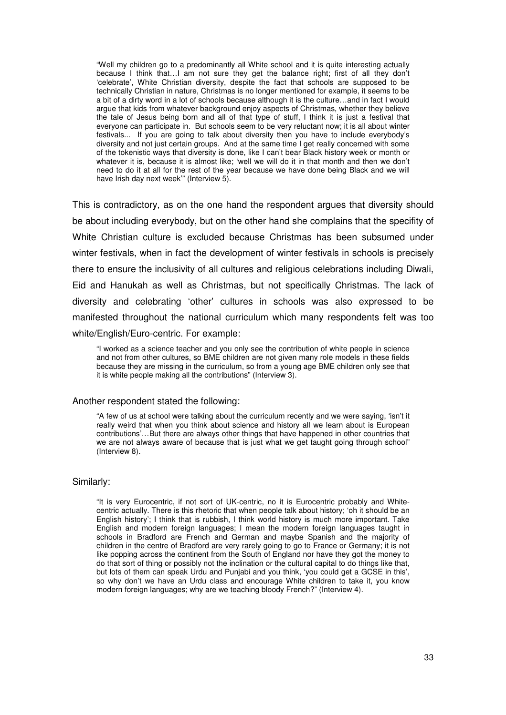"Well my children go to a predominantly all White school and it is quite interesting actually because I think that…I am not sure they get the balance right; first of all they don't 'celebrate', White Christian diversity, despite the fact that schools are supposed to be technically Christian in nature, Christmas is no longer mentioned for example, it seems to be a bit of a dirty word in a lot of schools because although it is the culture…and in fact I would argue that kids from whatever background enjoy aspects of Christmas, whether they believe the tale of Jesus being born and all of that type of stuff, I think it is just a festival that everyone can participate in. But schools seem to be very reluctant now; it is all about winter festivals... If you are going to talk about diversity then you have to include everybody's diversity and not just certain groups. And at the same time I get really concerned with some of the tokenistic ways that diversity is done, like I can't bear Black history week or month or whatever it is, because it is almost like; 'well we will do it in that month and then we don't need to do it at all for the rest of the year because we have done being Black and we will have Irish day next week'" (Interview 5).

This is contradictory, as on the one hand the respondent argues that diversity should be about including everybody, but on the other hand she complains that the specifity of White Christian culture is excluded because Christmas has been subsumed under winter festivals, when in fact the development of winter festivals in schools is precisely there to ensure the inclusivity of all cultures and religious celebrations including Diwali, Eid and Hanukah as well as Christmas, but not specifically Christmas. The lack of diversity and celebrating 'other' cultures in schools was also expressed to be manifested throughout the national curriculum which many respondents felt was too white/English/Euro-centric. For example:

"I worked as a science teacher and you only see the contribution of white people in science and not from other cultures, so BME children are not given many role models in these fields because they are missing in the curriculum, so from a young age BME children only see that it is white people making all the contributions" (Interview 3).

#### Another respondent stated the following:

"A few of us at school were talking about the curriculum recently and we were saying, 'isn't it really weird that when you think about science and history all we learn about is European contributions'…But there are always other things that have happened in other countries that we are not always aware of because that is just what we get taught going through school" (Interview 8).

# Similarly:

"It is very Eurocentric, if not sort of UK-centric, no it is Eurocentric probably and Whitecentric actually. There is this rhetoric that when people talk about history; 'oh it should be an English history'; I think that is rubbish, I think world history is much more important. Take English and modern foreign languages; I mean the modern foreign languages taught in schools in Bradford are French and German and maybe Spanish and the majority of children in the centre of Bradford are very rarely going to go to France or Germany; it is not like popping across the continent from the South of England nor have they got the money to do that sort of thing or possibly not the inclination or the cultural capital to do things like that, but lots of them can speak Urdu and Punjabi and you think, 'you could get a GCSE in this', so why don't we have an Urdu class and encourage White children to take it, you know modern foreign languages; why are we teaching bloody French?" (Interview 4).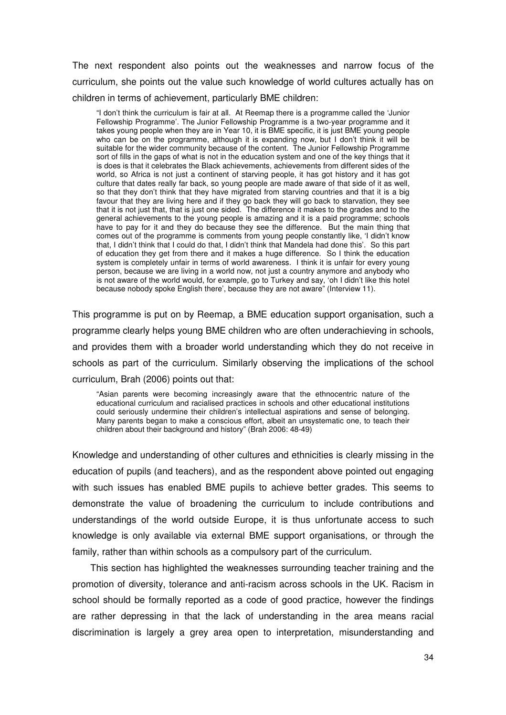The next respondent also points out the weaknesses and narrow focus of the curriculum, she points out the value such knowledge of world cultures actually has on children in terms of achievement, particularly BME children:

"I don't think the curriculum is fair at all. At Reemap there is a programme called the 'Junior Fellowship Programme'. The Junior Fellowship Programme is a two-year programme and it takes young people when they are in Year 10, it is BME specific, it is just BME young people who can be on the programme, although it is expanding now, but I don't think it will be suitable for the wider community because of the content. The Junior Fellowship Programme sort of fills in the gaps of what is not in the education system and one of the key things that it is does is that it celebrates the Black achievements, achievements from different sides of the world, so Africa is not just a continent of starving people, it has got history and it has got culture that dates really far back, so young people are made aware of that side of it as well, so that they don't think that they have migrated from starving countries and that it is a big favour that they are living here and if they go back they will go back to starvation, they see that it is not just that, that is just one sided. The difference it makes to the grades and to the general achievements to the young people is amazing and it is a paid programme; schools have to pay for it and they do because they see the difference. But the main thing that comes out of the programme is comments from young people constantly like, 'I didn't know that, I didn't think that I could do that, I didn't think that Mandela had done this'. So this part of education they get from there and it makes a huge difference. So I think the education system is completely unfair in terms of world awareness. I think it is unfair for every young person, because we are living in a world now, not just a country anymore and anybody who is not aware of the world would, for example, go to Turkey and say, 'oh I didn't like this hotel because nobody spoke English there', because they are not aware" (Interview 11).

This programme is put on by Reemap, a BME education support organisation, such a programme clearly helps young BME children who are often underachieving in schools, and provides them with a broader world understanding which they do not receive in schools as part of the curriculum. Similarly observing the implications of the school curriculum, Brah (2006) points out that:

"Asian parents were becoming increasingly aware that the ethnocentric nature of the educational curriculum and racialised practices in schools and other educational institutions could seriously undermine their children's intellectual aspirations and sense of belonging. Many parents began to make a conscious effort, albeit an unsystematic one, to teach their children about their background and history" (Brah 2006: 48-49)

Knowledge and understanding of other cultures and ethnicities is clearly missing in the education of pupils (and teachers), and as the respondent above pointed out engaging with such issues has enabled BME pupils to achieve better grades. This seems to demonstrate the value of broadening the curriculum to include contributions and understandings of the world outside Europe, it is thus unfortunate access to such knowledge is only available via external BME support organisations, or through the family, rather than within schools as a compulsory part of the curriculum.

This section has highlighted the weaknesses surrounding teacher training and the promotion of diversity, tolerance and anti-racism across schools in the UK. Racism in school should be formally reported as a code of good practice, however the findings are rather depressing in that the lack of understanding in the area means racial discrimination is largely a grey area open to interpretation, misunderstanding and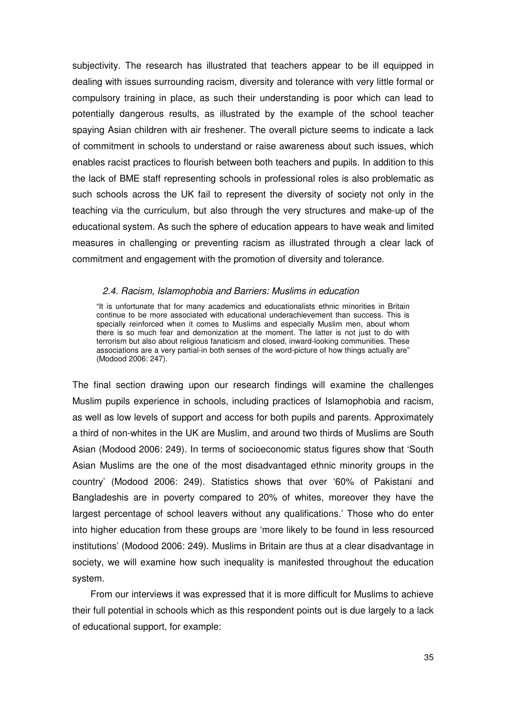subjectivity. The research has illustrated that teachers appear to be ill equipped in dealing with issues surrounding racism, diversity and tolerance with very little formal or compulsory training in place, as such their understanding is poor which can lead to potentially dangerous results, as illustrated by the example of the school teacher spaying Asian children with air freshener. The overall picture seems to indicate a lack of commitment in schools to understand or raise awareness about such issues, which enables racist practices to flourish between both teachers and pupils. In addition to this the lack of BME staff representing schools in professional roles is also problematic as such schools across the UK fail to represent the diversity of society not only in the teaching via the curriculum, but also through the very structures and make-up of the educational system. As such the sphere of education appears to have weak and limited measures in challenging or preventing racism as illustrated through a clear lack of commitment and engagement with the promotion of diversity and tolerance.

# 2.4. Racism, Islamophobia and Barriers: Muslims in education

"It is unfortunate that for many academics and educationalists ethnic minorities in Britain continue to be more associated with educational underachievement than success. This is specially reinforced when it comes to Muslims and especially Muslim men, about whom there is so much fear and demonization at the moment. The latter is not just to do with terrorism but also about religious fanaticism and closed, inward-looking communities. These associations are a very partial-in both senses of the word-picture of how things actually are" (Modood 2006: 247).

The final section drawing upon our research findings will examine the challenges Muslim pupils experience in schools, including practices of Islamophobia and racism, as well as low levels of support and access for both pupils and parents. Approximately a third of non-whites in the UK are Muslim, and around two thirds of Muslims are South Asian (Modood 2006: 249). In terms of socioeconomic status figures show that 'South Asian Muslims are the one of the most disadvantaged ethnic minority groups in the country' (Modood 2006: 249). Statistics shows that over '60% of Pakistani and Bangladeshis are in poverty compared to 20% of whites, moreover they have the largest percentage of school leavers without any qualifications.' Those who do enter into higher education from these groups are 'more likely to be found in less resourced institutions' (Modood 2006: 249). Muslims in Britain are thus at a clear disadvantage in society, we will examine how such inequality is manifested throughout the education system.

From our interviews it was expressed that it is more difficult for Muslims to achieve their full potential in schools which as this respondent points out is due largely to a lack of educational support, for example: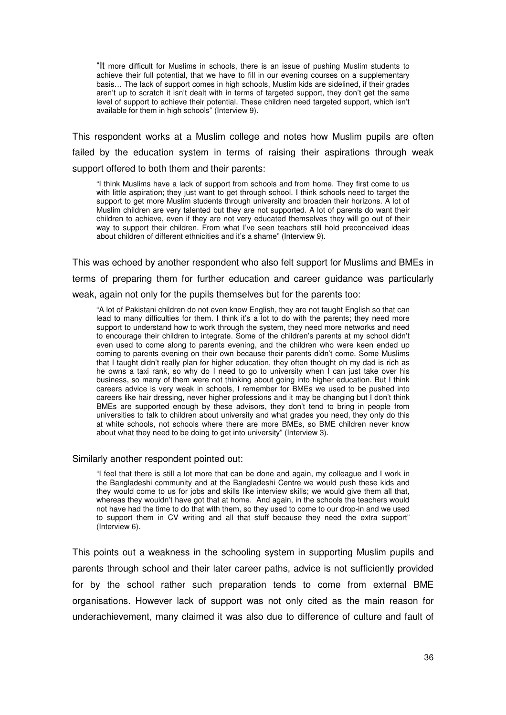"It more difficult for Muslims in schools, there is an issue of pushing Muslim students to achieve their full potential, that we have to fill in our evening courses on a supplementary basis… The lack of support comes in high schools, Muslim kids are sidelined, if their grades aren't up to scratch it isn't dealt with in terms of targeted support, they don't get the same level of support to achieve their potential. These children need targeted support, which isn't available for them in high schools" (Interview 9).

This respondent works at a Muslim college and notes how Muslim pupils are often failed by the education system in terms of raising their aspirations through weak support offered to both them and their parents:

"I think Muslims have a lack of support from schools and from home. They first come to us with little aspiration; they just want to get through school. I think schools need to target the support to get more Muslim students through university and broaden their horizons. A lot of Muslim children are very talented but they are not supported. A lot of parents do want their children to achieve, even if they are not very educated themselves they will go out of their way to support their children. From what I've seen teachers still hold preconceived ideas about children of different ethnicities and it's a shame" (Interview 9).

This was echoed by another respondent who also felt support for Muslims and BMEs in terms of preparing them for further education and career guidance was particularly weak, again not only for the pupils themselves but for the parents too:

"A lot of Pakistani children do not even know English, they are not taught English so that can lead to many difficulties for them. I think it's a lot to do with the parents; they need more support to understand how to work through the system, they need more networks and need to encourage their children to integrate. Some of the children's parents at my school didn't even used to come along to parents evening, and the children who were keen ended up coming to parents evening on their own because their parents didn't come. Some Muslims that I taught didn't really plan for higher education, they often thought oh my dad is rich as he owns a taxi rank, so why do I need to go to university when I can just take over his business, so many of them were not thinking about going into higher education. But I think careers advice is very weak in schools, I remember for BMEs we used to be pushed into careers like hair dressing, never higher professions and it may be changing but I don't think BMEs are supported enough by these advisors, they don't tend to bring in people from universities to talk to children about university and what grades you need, they only do this at white schools, not schools where there are more BMEs, so BME children never know about what they need to be doing to get into university" (Interview 3).

## Similarly another respondent pointed out:

"I feel that there is still a lot more that can be done and again, my colleague and I work in the Bangladeshi community and at the Bangladeshi Centre we would push these kids and they would come to us for jobs and skills like interview skills; we would give them all that, whereas they wouldn't have got that at home. And again, in the schools the teachers would not have had the time to do that with them, so they used to come to our drop-in and we used to support them in CV writing and all that stuff because they need the extra support" (Interview 6).

This points out a weakness in the schooling system in supporting Muslim pupils and parents through school and their later career paths, advice is not sufficiently provided for by the school rather such preparation tends to come from external BME organisations. However lack of support was not only cited as the main reason for underachievement, many claimed it was also due to difference of culture and fault of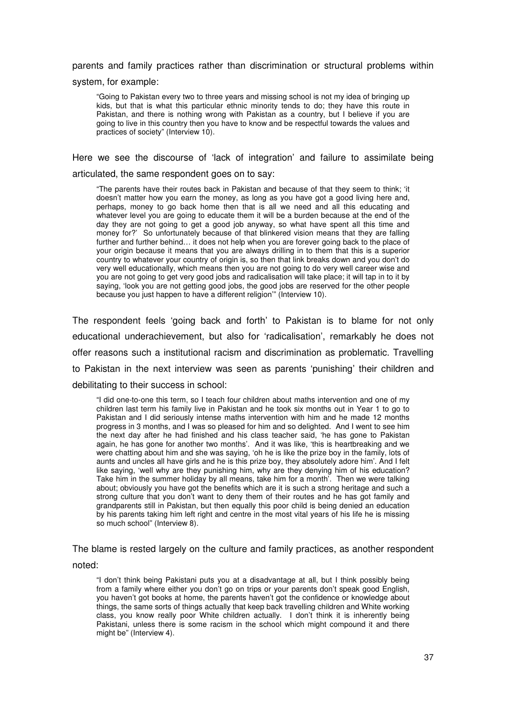# parents and family practices rather than discrimination or structural problems within system, for example:

"Going to Pakistan every two to three years and missing school is not my idea of bringing up kids, but that is what this particular ethnic minority tends to do; they have this route in Pakistan, and there is nothing wrong with Pakistan as a country, but I believe if you are going to live in this country then you have to know and be respectful towards the values and practices of society" (Interview 10).

# Here we see the discourse of 'lack of integration' and failure to assimilate being articulated, the same respondent goes on to say:

"The parents have their routes back in Pakistan and because of that they seem to think; 'it doesn't matter how you earn the money, as long as you have got a good living here and, perhaps, money to go back home then that is all we need and all this educating and whatever level you are going to educate them it will be a burden because at the end of the day they are not going to get a good job anyway, so what have spent all this time and money for?' So unfortunately because of that blinkered vision means that they are falling further and further behind… it does not help when you are forever going back to the place of your origin because it means that you are always drilling in to them that this is a superior country to whatever your country of origin is, so then that link breaks down and you don't do very well educationally, which means then you are not going to do very well career wise and you are not going to get very good jobs and radicalisation will take place; it will tap in to it by saying, 'look you are not getting good jobs, the good jobs are reserved for the other people because you just happen to have a different religion'" (Interview 10).

The respondent feels 'going back and forth' to Pakistan is to blame for not only educational underachievement, but also for 'radicalisation', remarkably he does not offer reasons such a institutional racism and discrimination as problematic. Travelling to Pakistan in the next interview was seen as parents 'punishing' their children and debilitating to their success in school:

"I did one-to-one this term, so I teach four children about maths intervention and one of my children last term his family live in Pakistan and he took six months out in Year 1 to go to Pakistan and I did seriously intense maths intervention with him and he made 12 months progress in 3 months, and I was so pleased for him and so delighted. And I went to see him the next day after he had finished and his class teacher said, 'he has gone to Pakistan again, he has gone for another two months'. And it was like, 'this is heartbreaking and we were chatting about him and she was saying, 'oh he is like the prize boy in the family, lots of aunts and uncles all have girls and he is this prize boy, they absolutely adore him'. And I felt like saying, 'well why are they punishing him, why are they denying him of his education? Take him in the summer holiday by all means, take him for a month'. Then we were talking about; obviously you have got the benefits which are it is such a strong heritage and such a strong culture that you don't want to deny them of their routes and he has got family and grandparents still in Pakistan, but then equally this poor child is being denied an education by his parents taking him left right and centre in the most vital years of his life he is missing so much school" (Interview 8).

The blame is rested largely on the culture and family practices, as another respondent noted:

"I don't think being Pakistani puts you at a disadvantage at all, but I think possibly being from a family where either you don't go on trips or your parents don't speak good English, you haven't got books at home, the parents haven't got the confidence or knowledge about things, the same sorts of things actually that keep back travelling children and White working class, you know really poor White children actually. I don't think it is inherently being Pakistani, unless there is some racism in the school which might compound it and there might be" (Interview 4).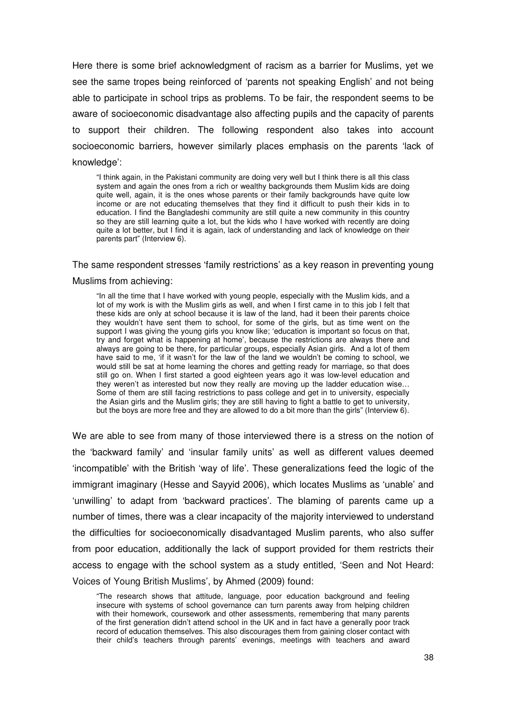Here there is some brief acknowledgment of racism as a barrier for Muslims, yet we see the same tropes being reinforced of 'parents not speaking English' and not being able to participate in school trips as problems. To be fair, the respondent seems to be aware of socioeconomic disadvantage also affecting pupils and the capacity of parents to support their children. The following respondent also takes into account socioeconomic barriers, however similarly places emphasis on the parents 'lack of knowledge':

"I think again, in the Pakistani community are doing very well but I think there is all this class system and again the ones from a rich or wealthy backgrounds them Muslim kids are doing quite well, again, it is the ones whose parents or their family backgrounds have quite low income or are not educating themselves that they find it difficult to push their kids in to education. I find the Bangladeshi community are still quite a new community in this country so they are still learning quite a lot, but the kids who I have worked with recently are doing quite a lot better, but I find it is again, lack of understanding and lack of knowledge on their parents part" (Interview 6).

# The same respondent stresses 'family restrictions' as a key reason in preventing young Muslims from achieving:

"In all the time that I have worked with young people, especially with the Muslim kids, and a lot of my work is with the Muslim girls as well, and when I first came in to this job I felt that these kids are only at school because it is law of the land, had it been their parents choice they wouldn't have sent them to school, for some of the girls, but as time went on the support I was giving the young girls you know like; 'education is important so focus on that, try and forget what is happening at home', because the restrictions are always there and always are going to be there, for particular groups, especially Asian girls. And a lot of them have said to me, 'if it wasn't for the law of the land we wouldn't be coming to school, we would still be sat at home learning the chores and getting ready for marriage, so that does still go on. When I first started a good eighteen years ago it was low-level education and they weren't as interested but now they really are moving up the ladder education wise… Some of them are still facing restrictions to pass college and get in to university, especially the Asian girls and the Muslim girls; they are still having to fight a battle to get to university, but the boys are more free and they are allowed to do a bit more than the girls" (Interview 6).

We are able to see from many of those interviewed there is a stress on the notion of the 'backward family' and 'insular family units' as well as different values deemed 'incompatible' with the British 'way of life'. These generalizations feed the logic of the immigrant imaginary (Hesse and Sayyid 2006), which locates Muslims as 'unable' and 'unwilling' to adapt from 'backward practices'. The blaming of parents came up a number of times, there was a clear incapacity of the majority interviewed to understand the difficulties for socioeconomically disadvantaged Muslim parents, who also suffer from poor education, additionally the lack of support provided for them restricts their access to engage with the school system as a study entitled, 'Seen and Not Heard: Voices of Young British Muslims', by Ahmed (2009) found:

"The research shows that attitude, language, poor education background and feeling insecure with systems of school governance can turn parents away from helping children with their homework, coursework and other assessments, remembering that many parents of the first generation didn't attend school in the UK and in fact have a generally poor track record of education themselves. This also discourages them from gaining closer contact with their child's teachers through parents' evenings, meetings with teachers and award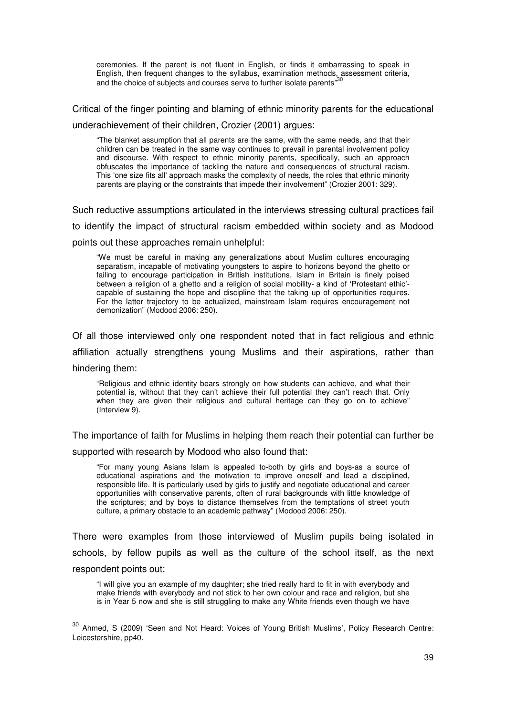ceremonies. If the parent is not fluent in English, or finds it embarrassing to speak in English, then frequent changes to the syllabus, examination methods, assessment criteria, and the choice of subjects and courses serve to further isolate parents"

Critical of the finger pointing and blaming of ethnic minority parents for the educational underachievement of their children, Crozier (2001) argues:

"The blanket assumption that all parents are the same, with the same needs, and that their children can be treated in the same way continues to prevail in parental involvement policy and discourse. With respect to ethnic minority parents, specifically, such an approach obfuscates the importance of tackling the nature and consequences of structural racism. This 'one size fits all' approach masks the complexity of needs, the roles that ethnic minority parents are playing or the constraints that impede their involvement" (Crozier 2001: 329).

Such reductive assumptions articulated in the interviews stressing cultural practices fail to identify the impact of structural racism embedded within society and as Modood points out these approaches remain unhelpful:

"We must be careful in making any generalizations about Muslim cultures encouraging separatism, incapable of motivating youngsters to aspire to horizons beyond the ghetto or failing to encourage participation in British institutions. Islam in Britain is finely poised between a religion of a ghetto and a religion of social mobility- a kind of 'Protestant ethic'capable of sustaining the hope and discipline that the taking up of opportunities requires. For the latter trajectory to be actualized, mainstream Islam requires encouragement not demonization" (Modood 2006: 250).

Of all those interviewed only one respondent noted that in fact religious and ethnic affiliation actually strengthens young Muslims and their aspirations, rather than hindering them:

"Religious and ethnic identity bears strongly on how students can achieve, and what their potential is, without that they can't achieve their full potential they can't reach that. Only when they are given their religious and cultural heritage can they go on to achieve" (Interview 9).

The importance of faith for Muslims in helping them reach their potential can further be

supported with research by Modood who also found that:

1

"For many young Asians Islam is appealed to-both by girls and boys-as a source of educational aspirations and the motivation to improve oneself and lead a disciplined, responsible life. It is particularly used by girls to justify and negotiate educational and career opportunities with conservative parents, often of rural backgrounds with little knowledge of the scriptures; and by boys to distance themselves from the temptations of street youth culture, a primary obstacle to an academic pathway" (Modood 2006: 250).

There were examples from those interviewed of Muslim pupils being isolated in schools, by fellow pupils as well as the culture of the school itself, as the next respondent points out:

"I will give you an example of my daughter; she tried really hard to fit in with everybody and make friends with everybody and not stick to her own colour and race and religion, but she is in Year 5 now and she is still struggling to make any White friends even though we have

<sup>&</sup>lt;sup>30</sup> Ahmed, S (2009) 'Seen and Not Heard: Voices of Young British Muslims', Policy Research Centre: Leicestershire, pp40.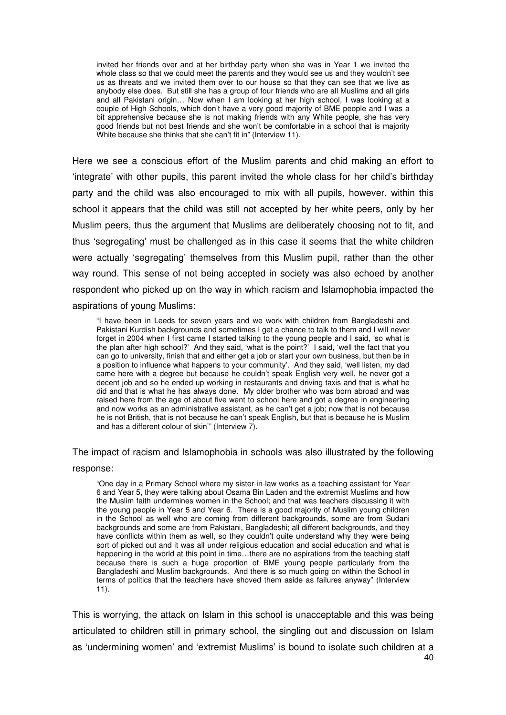invited her friends over and at her birthday party when she was in Year 1 we invited the whole class so that we could meet the parents and they would see us and they wouldn't see us as threats and we invited them over to our house so that they can see that we live as anybody else does. But still she has a group of four friends who are all Muslims and all girls and all Pakistani origin… Now when I am looking at her high school, I was looking at a couple of High Schools, which don't have a very good majority of BME people and I was a bit apprehensive because she is not making friends with any White people, she has very good friends but not best friends and she won't be comfortable in a school that is majority White because she thinks that she can't fit in" (Interview 11).

Here we see a conscious effort of the Muslim parents and chid making an effort to 'integrate' with other pupils, this parent invited the whole class for her child's birthday party and the child was also encouraged to mix with all pupils, however, within this school it appears that the child was still not accepted by her white peers, only by her Muslim peers, thus the argument that Muslims are deliberately choosing not to fit, and thus 'segregating' must be challenged as in this case it seems that the white children were actually 'segregating' themselves from this Muslim pupil, rather than the other way round. This sense of not being accepted in society was also echoed by another respondent who picked up on the way in which racism and Islamophobia impacted the aspirations of young Muslims:

"I have been in Leeds for seven years and we work with children from Bangladeshi and Pakistani Kurdish backgrounds and sometimes I get a chance to talk to them and I will never forget in 2004 when I first came I started talking to the young people and I said, 'so what is the plan after high school?' And they said, 'what is the point?' I said, 'well the fact that you can go to university, finish that and either get a job or start your own business, but then be in a position to influence what happens to your community'. And they said, 'well listen, my dad came here with a degree but because he couldn't speak English very well, he never got a decent job and so he ended up working in restaurants and driving taxis and that is what he did and that is what he has always done. My older brother who was born abroad and was raised here from the age of about five went to school here and got a degree in engineering and now works as an administrative assistant, as he can't get a job; now that is not because he is not British, that is not because he can't speak English, but that is because he is Muslim and has a different colour of skin'" (Interview 7).

The impact of racism and Islamophobia in schools was also illustrated by the following

## response:

"One day in a Primary School where my sister-in-law works as a teaching assistant for Year 6 and Year 5, they were talking about Osama Bin Laden and the extremist Muslims and how the Muslim faith undermines women in the School; and that was teachers discussing it with the young people in Year 5 and Year 6. There is a good majority of Muslim young children in the School as well who are coming from different backgrounds, some are from Sudani backgrounds and some are from Pakistani, Bangladeshi; all different backgrounds, and they have conflicts within them as well, so they couldn't quite understand why they were being sort of picked out and it was all under religious education and social education and what is happening in the world at this point in time…there are no aspirations from the teaching staff because there is such a huge proportion of BME young people particularly from the Bangladeshi and Muslim backgrounds. And there is so much going on within the School in terms of politics that the teachers have shoved them aside as failures anyway" (Interview 11).

This is worrying, the attack on Islam in this school is unacceptable and this was being articulated to children still in primary school, the singling out and discussion on Islam as 'undermining women' and 'extremist Muslims' is bound to isolate such children at a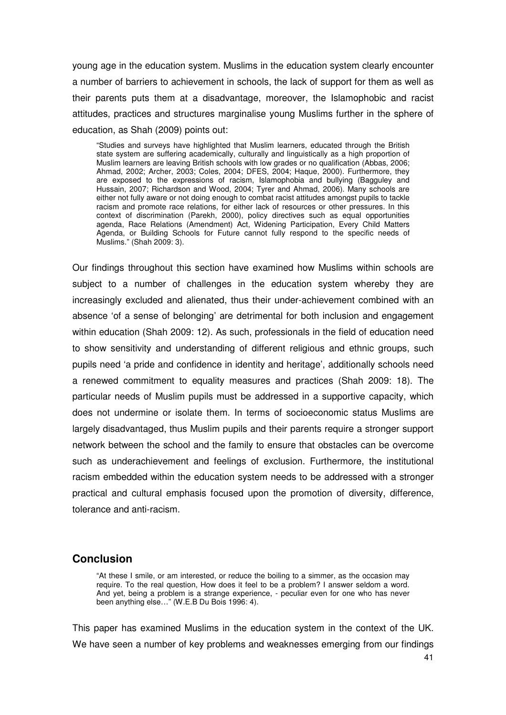young age in the education system. Muslims in the education system clearly encounter a number of barriers to achievement in schools, the lack of support for them as well as their parents puts them at a disadvantage, moreover, the Islamophobic and racist attitudes, practices and structures marginalise young Muslims further in the sphere of education, as Shah (2009) points out:

"Studies and surveys have highlighted that Muslim learners, educated through the British state system are suffering academically, culturally and linguistically as a high proportion of Muslim learners are leaving British schools with low grades or no qualification (Abbas, 2006; Ahmad, 2002; Archer, 2003; Coles, 2004; DFES, 2004; Haque, 2000). Furthermore, they are exposed to the expressions of racism, Islamophobia and bullying (Bagguley and Hussain, 2007; Richardson and Wood, 2004; Tyrer and Ahmad, 2006). Many schools are either not fully aware or not doing enough to combat racist attitudes amongst pupils to tackle racism and promote race relations, for either lack of resources or other pressures. In this context of discrimination (Parekh, 2000), policy directives such as equal opportunities agenda, Race Relations (Amendment) Act, Widening Participation, Every Child Matters Agenda, or Building Schools for Future cannot fully respond to the specific needs of Muslims." (Shah 2009: 3).

Our findings throughout this section have examined how Muslims within schools are subject to a number of challenges in the education system whereby they are increasingly excluded and alienated, thus their under-achievement combined with an absence 'of a sense of belonging' are detrimental for both inclusion and engagement within education (Shah 2009: 12). As such, professionals in the field of education need to show sensitivity and understanding of different religious and ethnic groups, such pupils need 'a pride and confidence in identity and heritage', additionally schools need a renewed commitment to equality measures and practices (Shah 2009: 18). The particular needs of Muslim pupils must be addressed in a supportive capacity, which does not undermine or isolate them. In terms of socioeconomic status Muslims are largely disadvantaged, thus Muslim pupils and their parents require a stronger support network between the school and the family to ensure that obstacles can be overcome such as underachievement and feelings of exclusion. Furthermore, the institutional racism embedded within the education system needs to be addressed with a stronger practical and cultural emphasis focused upon the promotion of diversity, difference, tolerance and anti-racism.

# **Conclusion**

"At these I smile, or am interested, or reduce the boiling to a simmer, as the occasion may require. To the real question, How does it feel to be a problem? I answer seldom a word. And yet, being a problem is a strange experience, - peculiar even for one who has never been anything else…" (W.E.B Du Bois 1996: 4).

This paper has examined Muslims in the education system in the context of the UK. We have seen a number of key problems and weaknesses emerging from our findings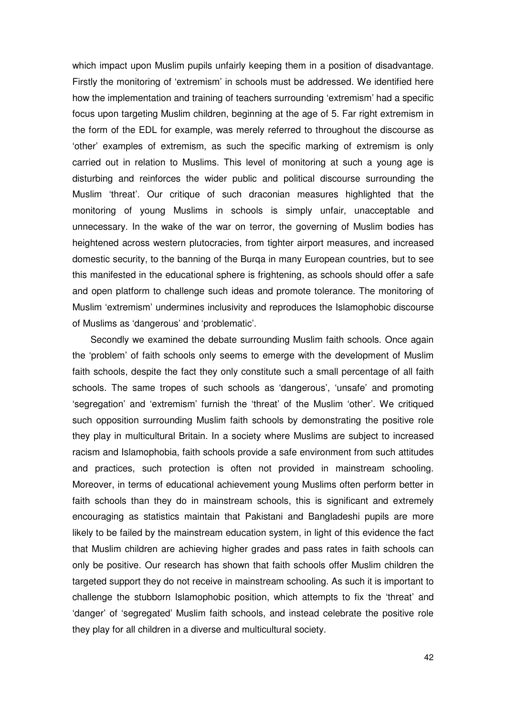which impact upon Muslim pupils unfairly keeping them in a position of disadvantage. Firstly the monitoring of 'extremism' in schools must be addressed. We identified here how the implementation and training of teachers surrounding 'extremism' had a specific focus upon targeting Muslim children, beginning at the age of 5. Far right extremism in the form of the EDL for example, was merely referred to throughout the discourse as 'other' examples of extremism, as such the specific marking of extremism is only carried out in relation to Muslims. This level of monitoring at such a young age is disturbing and reinforces the wider public and political discourse surrounding the Muslim 'threat'. Our critique of such draconian measures highlighted that the monitoring of young Muslims in schools is simply unfair, unacceptable and unnecessary. In the wake of the war on terror, the governing of Muslim bodies has heightened across western plutocracies, from tighter airport measures, and increased domestic security, to the banning of the Burqa in many European countries, but to see this manifested in the educational sphere is frightening, as schools should offer a safe and open platform to challenge such ideas and promote tolerance. The monitoring of Muslim 'extremism' undermines inclusivity and reproduces the Islamophobic discourse of Muslims as 'dangerous' and 'problematic'.

Secondly we examined the debate surrounding Muslim faith schools. Once again the 'problem' of faith schools only seems to emerge with the development of Muslim faith schools, despite the fact they only constitute such a small percentage of all faith schools. The same tropes of such schools as 'dangerous', 'unsafe' and promoting 'segregation' and 'extremism' furnish the 'threat' of the Muslim 'other'. We critiqued such opposition surrounding Muslim faith schools by demonstrating the positive role they play in multicultural Britain. In a society where Muslims are subject to increased racism and Islamophobia, faith schools provide a safe environment from such attitudes and practices, such protection is often not provided in mainstream schooling. Moreover, in terms of educational achievement young Muslims often perform better in faith schools than they do in mainstream schools, this is significant and extremely encouraging as statistics maintain that Pakistani and Bangladeshi pupils are more likely to be failed by the mainstream education system, in light of this evidence the fact that Muslim children are achieving higher grades and pass rates in faith schools can only be positive. Our research has shown that faith schools offer Muslim children the targeted support they do not receive in mainstream schooling. As such it is important to challenge the stubborn Islamophobic position, which attempts to fix the 'threat' and 'danger' of 'segregated' Muslim faith schools, and instead celebrate the positive role they play for all children in a diverse and multicultural society.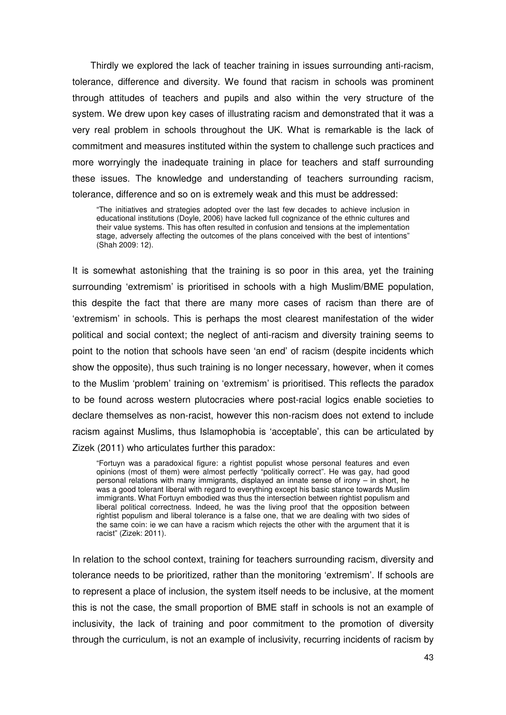Thirdly we explored the lack of teacher training in issues surrounding anti-racism, tolerance, difference and diversity. We found that racism in schools was prominent through attitudes of teachers and pupils and also within the very structure of the system. We drew upon key cases of illustrating racism and demonstrated that it was a very real problem in schools throughout the UK. What is remarkable is the lack of commitment and measures instituted within the system to challenge such practices and more worryingly the inadequate training in place for teachers and staff surrounding these issues. The knowledge and understanding of teachers surrounding racism, tolerance, difference and so on is extremely weak and this must be addressed:

"The initiatives and strategies adopted over the last few decades to achieve inclusion in educational institutions (Doyle, 2006) have lacked full cognizance of the ethnic cultures and their value systems. This has often resulted in confusion and tensions at the implementation stage, adversely affecting the outcomes of the plans conceived with the best of intentions" (Shah 2009: 12).

It is somewhat astonishing that the training is so poor in this area, yet the training surrounding 'extremism' is prioritised in schools with a high Muslim/BME population, this despite the fact that there are many more cases of racism than there are of 'extremism' in schools. This is perhaps the most clearest manifestation of the wider political and social context; the neglect of anti-racism and diversity training seems to point to the notion that schools have seen 'an end' of racism (despite incidents which show the opposite), thus such training is no longer necessary, however, when it comes to the Muslim 'problem' training on 'extremism' is prioritised. This reflects the paradox to be found across western plutocracies where post-racial logics enable societies to declare themselves as non-racist, however this non-racism does not extend to include racism against Muslims, thus Islamophobia is 'acceptable', this can be articulated by Zizek (2011) who articulates further this paradox:

"Fortuyn was a paradoxical figure: a rightist populist whose personal features and even opinions (most of them) were almost perfectly "politically correct". He was gay, had good personal relations with many immigrants, displayed an innate sense of irony – in short, he was a good tolerant liberal with regard to everything except his basic stance towards Muslim immigrants. What Fortuyn embodied was thus the intersection between rightist populism and liberal political correctness. Indeed, he was the living proof that the opposition between rightist populism and liberal tolerance is a false one, that we are dealing with two sides of the same coin: ie we can have a racism which rejects the other with the argument that it is racist" (Zizek: 2011).

In relation to the school context, training for teachers surrounding racism, diversity and tolerance needs to be prioritized, rather than the monitoring 'extremism'. If schools are to represent a place of inclusion, the system itself needs to be inclusive, at the moment this is not the case, the small proportion of BME staff in schools is not an example of inclusivity, the lack of training and poor commitment to the promotion of diversity through the curriculum, is not an example of inclusivity, recurring incidents of racism by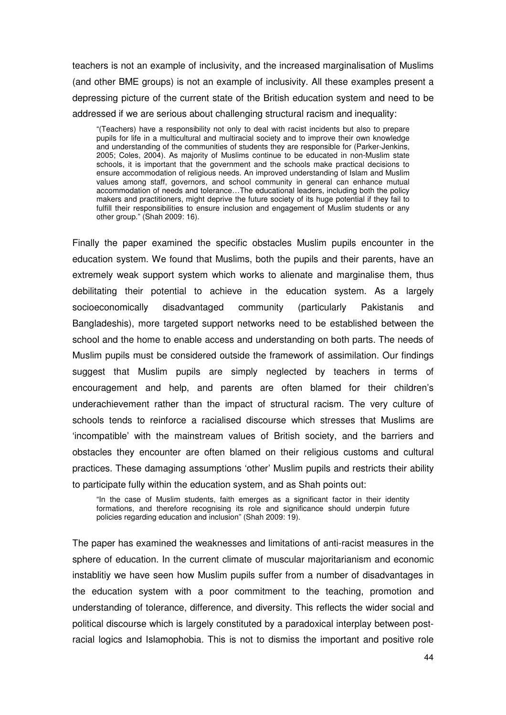teachers is not an example of inclusivity, and the increased marginalisation of Muslims (and other BME groups) is not an example of inclusivity. All these examples present a depressing picture of the current state of the British education system and need to be addressed if we are serious about challenging structural racism and inequality:

"(Teachers) have a responsibility not only to deal with racist incidents but also to prepare pupils for life in a multicultural and multiracial society and to improve their own knowledge and understanding of the communities of students they are responsible for (Parker-Jenkins, 2005; Coles, 2004). As majority of Muslims continue to be educated in non-Muslim state schools, it is important that the government and the schools make practical decisions to ensure accommodation of religious needs. An improved understanding of Islam and Muslim values among staff, governors, and school community in general can enhance mutual accommodation of needs and tolerance…The educational leaders, including both the policy makers and practitioners, might deprive the future society of its huge potential if they fail to fulfill their responsibilities to ensure inclusion and engagement of Muslim students or any other group." (Shah 2009: 16).

Finally the paper examined the specific obstacles Muslim pupils encounter in the education system. We found that Muslims, both the pupils and their parents, have an extremely weak support system which works to alienate and marginalise them, thus debilitating their potential to achieve in the education system. As a largely socioeconomically disadvantaged community (particularly Pakistanis and Bangladeshis), more targeted support networks need to be established between the school and the home to enable access and understanding on both parts. The needs of Muslim pupils must be considered outside the framework of assimilation. Our findings suggest that Muslim pupils are simply neglected by teachers in terms of encouragement and help, and parents are often blamed for their children's underachievement rather than the impact of structural racism. The very culture of schools tends to reinforce a racialised discourse which stresses that Muslims are 'incompatible' with the mainstream values of British society, and the barriers and obstacles they encounter are often blamed on their religious customs and cultural practices. These damaging assumptions 'other' Muslim pupils and restricts their ability to participate fully within the education system, and as Shah points out:

"In the case of Muslim students, faith emerges as a significant factor in their identity formations, and therefore recognising its role and significance should underpin future policies regarding education and inclusion" (Shah 2009: 19).

The paper has examined the weaknesses and limitations of anti-racist measures in the sphere of education. In the current climate of muscular majoritarianism and economic instablitiy we have seen how Muslim pupils suffer from a number of disadvantages in the education system with a poor commitment to the teaching, promotion and understanding of tolerance, difference, and diversity. This reflects the wider social and political discourse which is largely constituted by a paradoxical interplay between postracial logics and Islamophobia. This is not to dismiss the important and positive role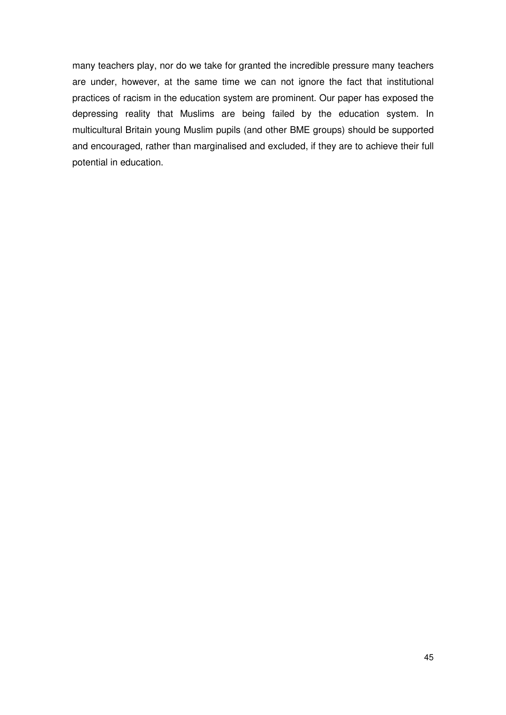many teachers play, nor do we take for granted the incredible pressure many teachers are under, however, at the same time we can not ignore the fact that institutional practices of racism in the education system are prominent. Our paper has exposed the depressing reality that Muslims are being failed by the education system. In multicultural Britain young Muslim pupils (and other BME groups) should be supported and encouraged, rather than marginalised and excluded, if they are to achieve their full potential in education.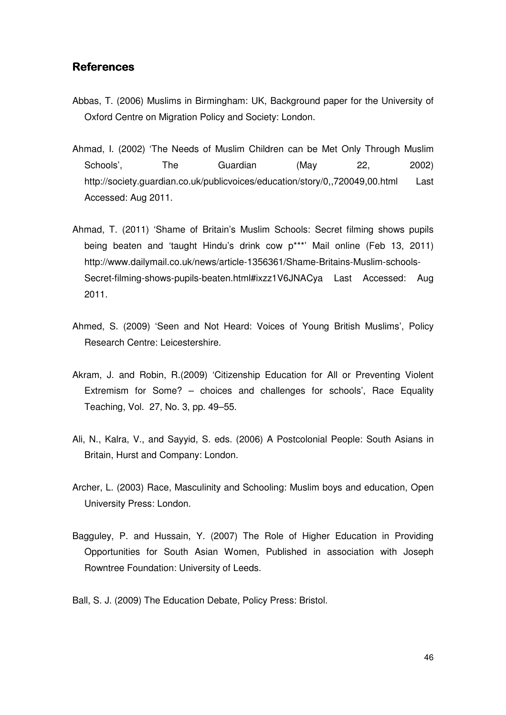# References

- Abbas, T. (2006) Muslims in Birmingham: UK, Background paper for the University of Oxford Centre on Migration Policy and Society: London.
- Ahmad, I. (2002) 'The Needs of Muslim Children can be Met Only Through Muslim Schools', The Guardian (May 22, 2002) http://society.guardian.co.uk/publicvoices/education/story/0,,720049,00.html Last Accessed: Aug 2011.
- Ahmad, T. (2011) 'Shame of Britain's Muslim Schools: Secret filming shows pupils being beaten and 'taught Hindu's drink cow p\*\*\*' Mail online (Feb 13, 2011) http://www.dailymail.co.uk/news/article-1356361/Shame-Britains-Muslim-schools-Secret-filming-shows-pupils-beaten.html#ixzz1V6JNACya Last Accessed: Aug 2011.
- Ahmed, S. (2009) 'Seen and Not Heard: Voices of Young British Muslims', Policy Research Centre: Leicestershire.
- Akram, J. and Robin, R.(2009) 'Citizenship Education for All or Preventing Violent Extremism for Some? – choices and challenges for schools', Race Equality Teaching, Vol. 27, No. 3, pp. 49–55.
- Ali, N., Kalra, V., and Sayyid, S. eds. (2006) A Postcolonial People: South Asians in Britain, Hurst and Company: London.
- Archer, L. (2003) Race, Masculinity and Schooling: Muslim boys and education, Open University Press: London.
- Bagguley, P. and Hussain, Y. (2007) The Role of Higher Education in Providing Opportunities for South Asian Women, Published in association with Joseph Rowntree Foundation: University of Leeds.
- Ball, S. J. (2009) The Education Debate, Policy Press: Bristol.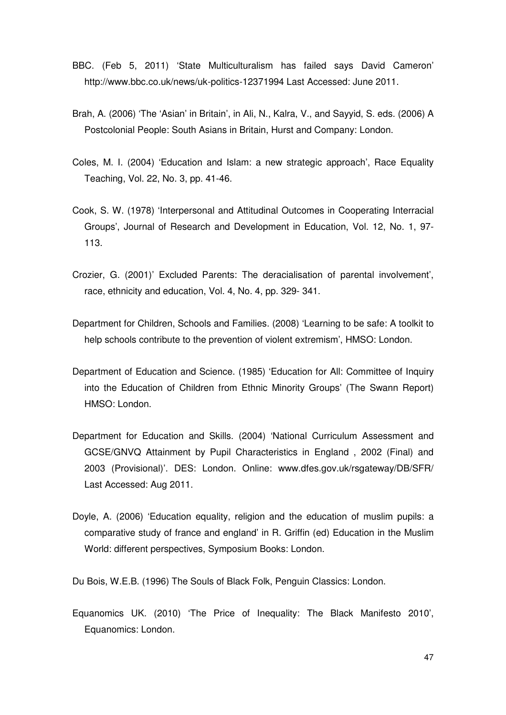- BBC. (Feb 5, 2011) 'State Multiculturalism has failed says David Cameron' http://www.bbc.co.uk/news/uk-politics-12371994 Last Accessed: June 2011.
- Brah, A. (2006) 'The 'Asian' in Britain', in Ali, N., Kalra, V., and Sayyid, S. eds. (2006) A Postcolonial People: South Asians in Britain, Hurst and Company: London.
- Coles, M. I. (2004) 'Education and Islam: a new strategic approach', Race Equality Teaching, Vol. 22, No. 3, pp. 41-46.
- Cook, S. W. (1978) 'Interpersonal and Attitudinal Outcomes in Cooperating Interracial Groups', Journal of Research and Development in Education, Vol. 12, No. 1, 97- 113.
- Crozier, G. (2001)' Excluded Parents: The deracialisation of parental involvement', race, ethnicity and education, Vol. 4, No. 4, pp. 329- 341.
- Department for Children, Schools and Families. (2008) 'Learning to be safe: A toolkit to help schools contribute to the prevention of violent extremism', HMSO: London.
- Department of Education and Science. (1985) 'Education for All: Committee of Inquiry into the Education of Children from Ethnic Minority Groups' (The Swann Report) HMSO: London.
- Department for Education and Skills. (2004) 'National Curriculum Assessment and GCSE/GNVQ Attainment by Pupil Characteristics in England , 2002 (Final) and 2003 (Provisional)'. DES: London. Online: www.dfes.gov.uk/rsgateway/DB/SFR/ Last Accessed: Aug 2011.
- Doyle, A. (2006) 'Education equality, religion and the education of muslim pupils: a comparative study of france and england' in R. Griffin (ed) Education in the Muslim World: different perspectives, Symposium Books: London.

Du Bois, W.E.B. (1996) The Souls of Black Folk, Penguin Classics: London.

Equanomics UK. (2010) 'The Price of Inequality: The Black Manifesto 2010', Equanomics: London.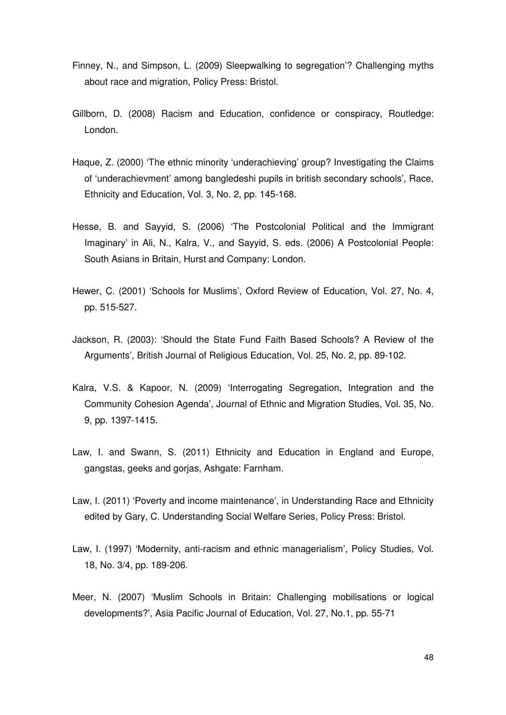- Finney, N., and Simpson, L. (2009) Sleepwalking to segregation'? Challenging myths about race and migration, Policy Press: Bristol.
- Gillborn, D. (2008) Racism and Education, confidence or conspiracy, Routledge: London.
- Haque, Z. (2000) 'The ethnic minority 'underachieving' group? Investigating the Claims of 'underachievment' among bangledeshi pupils in british secondary schools', Race, Ethnicity and Education, Vol. 3, No. 2, pp. 145-168.
- Hesse, B. and Sayyid, S. (2006) 'The Postcolonial Political and the Immigrant Imaginary' in Ali, N., Kalra, V., and Sayyid, S. eds. (2006) A Postcolonial People: South Asians in Britain, Hurst and Company: London.
- Hewer, C. (2001) 'Schools for Muslims', Oxford Review of Education, Vol. 27, No. 4, pp. 515-527.
- Jackson, R. (2003): 'Should the State Fund Faith Based Schools? A Review of the Arguments', British Journal of Religious Education, Vol. 25, No. 2, pp. 89-102.
- Kalra, V.S. & Kapoor, N. (2009) 'Interrogating Segregation, Integration and the Community Cohesion Agenda', Journal of Ethnic and Migration Studies, Vol. 35, No. 9, pp. 1397-1415.
- Law, I. and Swann, S. (2011) Ethnicity and Education in England and Europe, gangstas, geeks and gorjas, Ashgate: Farnham.
- Law, I. (2011) 'Poverty and income maintenance', in Understanding Race and Ethnicity edited by Gary, C. Understanding Social Welfare Series, Policy Press: Bristol.
- Law, I. (1997) 'Modernity, anti-racism and ethnic managerialism', Policy Studies, Vol. 18, No. 3/4, pp. 189-206.
- Meer, N. (2007) 'Muslim Schools in Britain: Challenging mobilisations or logical developments?', Asia Pacific Journal of Education, Vol. 27, No.1, pp. 55-71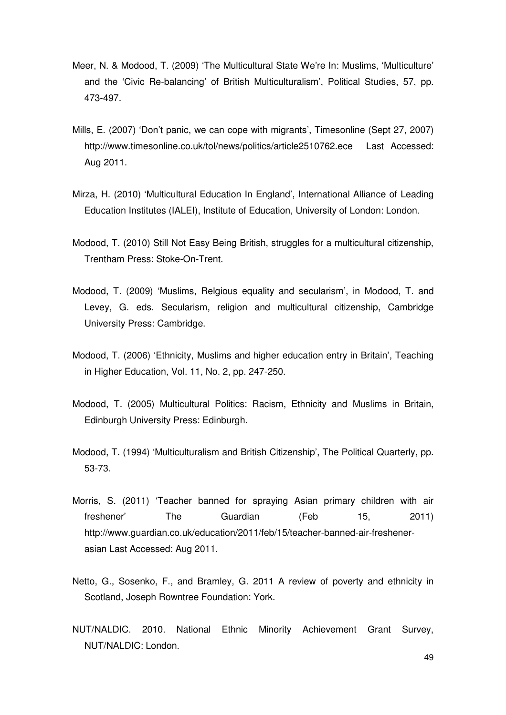- Meer, N. & Modood, T. (2009) 'The Multicultural State We're In: Muslims, 'Multiculture' and the 'Civic Re-balancing' of British Multiculturalism', Political Studies, 57, pp. 473-497.
- Mills, E. (2007) 'Don't panic, we can cope with migrants', Timesonline (Sept 27, 2007) http://www.timesonline.co.uk/tol/news/politics/article2510762.ece Last Accessed: Aug 2011.
- Mirza, H. (2010) 'Multicultural Education In England', International Alliance of Leading Education Institutes (IALEI), Institute of Education, University of London: London.
- Modood, T. (2010) Still Not Easy Being British, struggles for a multicultural citizenship, Trentham Press: Stoke-On-Trent.
- Modood, T. (2009) 'Muslims, Relgious equality and secularism', in Modood, T. and Levey, G. eds. Secularism, religion and multicultural citizenship, Cambridge University Press: Cambridge.
- Modood, T. (2006) 'Ethnicity, Muslims and higher education entry in Britain', Teaching in Higher Education, Vol. 11, No. 2, pp. 247-250.
- Modood, T. (2005) Multicultural Politics: Racism, Ethnicity and Muslims in Britain, Edinburgh University Press: Edinburgh.
- Modood, T. (1994) 'Multiculturalism and British Citizenship', The Political Quarterly, pp. 53-73.
- Morris, S. (2011) 'Teacher banned for spraying Asian primary children with air freshener' The Guardian (Feb 15, 2011) http://www.guardian.co.uk/education/2011/feb/15/teacher-banned-air-freshenerasian Last Accessed: Aug 2011.
- Netto, G., Sosenko, F., and Bramley, G. 2011 A review of poverty and ethnicity in Scotland, Joseph Rowntree Foundation: York.
- NUT/NALDIC. 2010. National Ethnic Minority Achievement Grant Survey, NUT/NALDIC: London.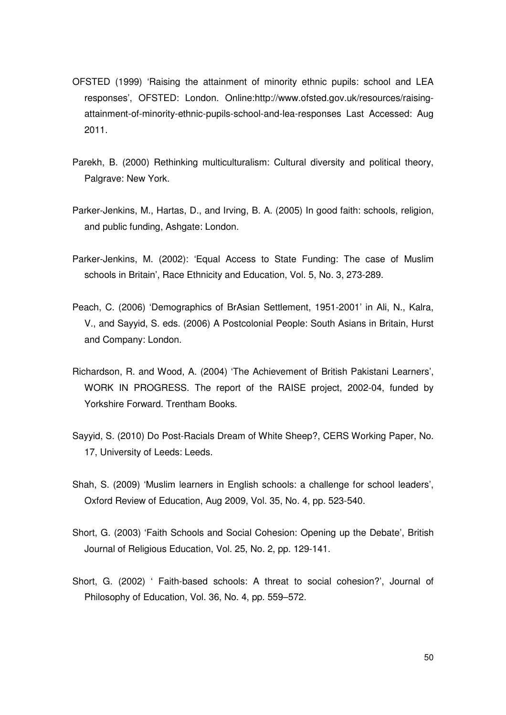- OFSTED (1999) 'Raising the attainment of minority ethnic pupils: school and LEA responses', OFSTED: London. Online:http://www.ofsted.gov.uk/resources/raisingattainment-of-minority-ethnic-pupils-school-and-lea-responses Last Accessed: Aug 2011.
- Parekh, B. (2000) Rethinking multiculturalism: Cultural diversity and political theory, Palgrave: New York.
- Parker-Jenkins, M., Hartas, D., and Irving, B. A. (2005) In good faith: schools, religion, and public funding, Ashgate: London.
- Parker-Jenkins, M. (2002): 'Equal Access to State Funding: The case of Muslim schools in Britain', Race Ethnicity and Education, Vol. 5, No. 3, 273-289.
- Peach, C. (2006) 'Demographics of BrAsian Settlement, 1951-2001' in Ali, N., Kalra, V., and Sayyid, S. eds. (2006) A Postcolonial People: South Asians in Britain, Hurst and Company: London.
- Richardson, R. and Wood, A. (2004) 'The Achievement of British Pakistani Learners', WORK IN PROGRESS. The report of the RAISE project, 2002-04, funded by Yorkshire Forward. Trentham Books.
- Sayyid, S. (2010) Do Post-Racials Dream of White Sheep?, CERS Working Paper, No. 17, University of Leeds: Leeds.
- Shah, S. (2009) 'Muslim learners in English schools: a challenge for school leaders', Oxford Review of Education, Aug 2009, Vol. 35, No. 4, pp. 523-540.
- Short, G. (2003) 'Faith Schools and Social Cohesion: Opening up the Debate', British Journal of Religious Education, Vol. 25, No. 2, pp. 129-141.
- Short, G. (2002) ' Faith-based schools: A threat to social cohesion?', Journal of Philosophy of Education, Vol. 36, No. 4, pp. 559–572.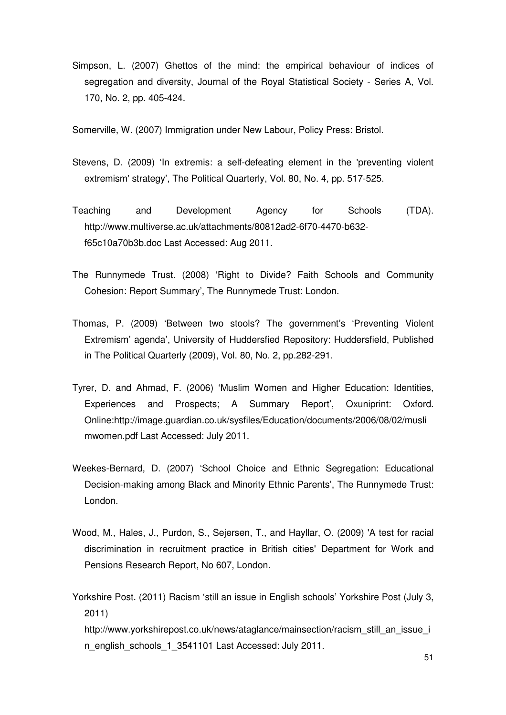Simpson, L. (2007) Ghettos of the mind: the empirical behaviour of indices of segregation and diversity, Journal of the Royal Statistical Society - Series A, Vol. 170, No. 2, pp. 405-424.

Somerville, W. (2007) Immigration under New Labour, Policy Press: Bristol.

- Stevens, D. (2009) 'In extremis: a self-defeating element in the 'preventing violent extremism' strategy', The Political Quarterly, Vol. 80, No. 4, pp. 517-525.
- Teaching and Development Agency for Schools (TDA). http://www.multiverse.ac.uk/attachments/80812ad2-6f70-4470-b632 f65c10a70b3b.doc Last Accessed: Aug 2011.
- The Runnymede Trust. (2008) 'Right to Divide? Faith Schools and Community Cohesion: Report Summary', The Runnymede Trust: London.
- Thomas, P. (2009) 'Between two stools? The government's 'Preventing Violent Extremism' agenda', University of Huddersfied Repository: Huddersfield, Published in The Political Quarterly (2009), Vol. 80, No. 2, pp.282-291.
- Tyrer, D. and Ahmad, F. (2006) 'Muslim Women and Higher Education: Identities, Experiences and Prospects; A Summary Report', Oxuniprint: Oxford. Online:http://image.guardian.co.uk/sysfiles/Education/documents/2006/08/02/musli mwomen.pdf Last Accessed: July 2011.
- Weekes-Bernard, D. (2007) 'School Choice and Ethnic Segregation: Educational Decision-making among Black and Minority Ethnic Parents', The Runnymede Trust: London.
- Wood, M., Hales, J., Purdon, S., Sejersen, T., and Hayllar, O. (2009) 'A test for racial discrimination in recruitment practice in British cities' Department for Work and Pensions Research Report, No 607, London.

Yorkshire Post. (2011) Racism 'still an issue in English schools' Yorkshire Post (July 3, 2011) http://www.yorkshirepost.co.uk/news/ataglance/mainsection/racism\_still\_an\_issue\_i n\_english\_schools\_1\_3541101 Last Accessed: July 2011.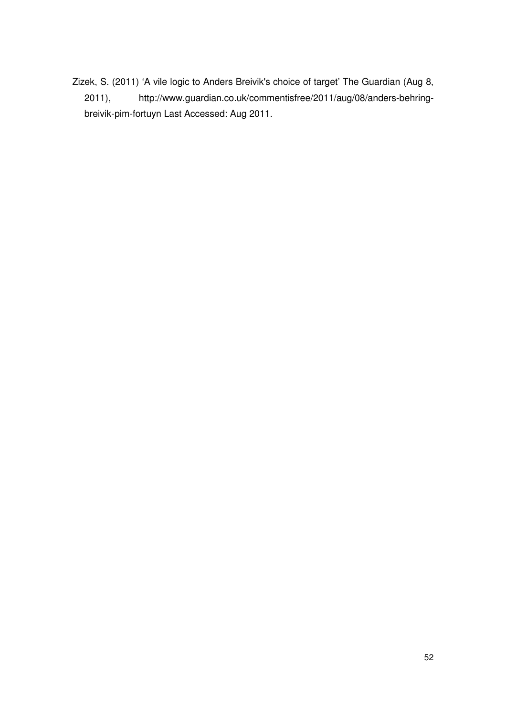Zizek, S. (2011) 'A vile logic to Anders Breivik's choice of target' The Guardian (Aug 8, 2011), http://www.guardian.co.uk/commentisfree/2011/aug/08/anders-behringbreivik-pim-fortuyn Last Accessed: Aug 2011.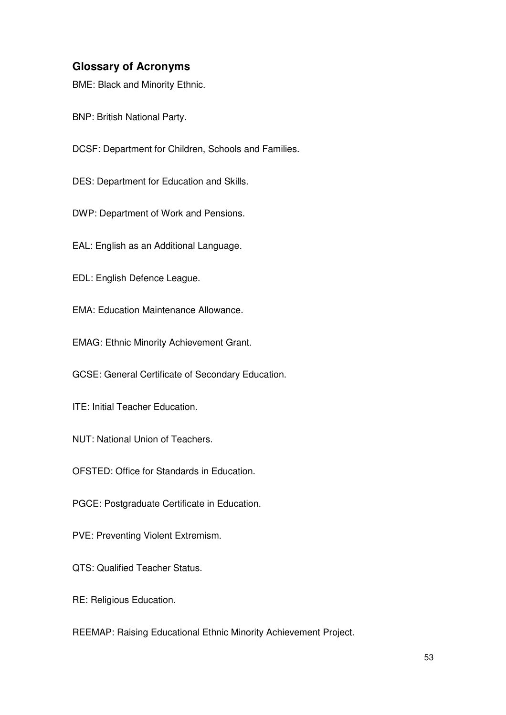# **Glossary of Acronyms**

BME: Black and Minority Ethnic.

- BNP: British National Party.
- DCSF: Department for Children, Schools and Families.
- DES: Department for Education and Skills.
- DWP: Department of Work and Pensions.
- EAL: English as an Additional Language.
- EDL: English Defence League.
- EMA: Education Maintenance Allowance.
- EMAG: Ethnic Minority Achievement Grant.
- GCSE: General Certificate of Secondary Education.
- ITE: Initial Teacher Education.
- NUT: National Union of Teachers.
- OFSTED: Office for Standards in Education.
- PGCE: Postgraduate Certificate in Education.
- PVE: Preventing Violent Extremism.
- QTS: Qualified Teacher Status.
- RE: Religious Education.
- REEMAP: Raising Educational Ethnic Minority Achievement Project.